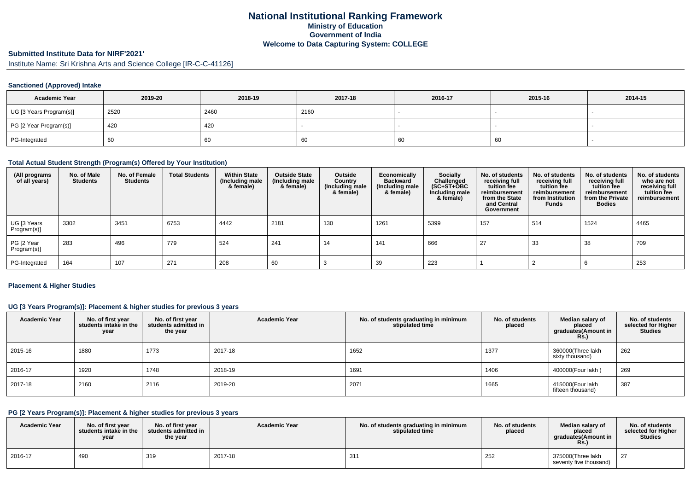## **National Institutional Ranking FrameworkMinistry of Education Government of IndiaWelcome to Data Capturing System: COLLEGE**

# **Submitted Institute Data for NIRF'2021'**

Institute Name: Sri Krishna Arts and Science College [IR-C-C-41126]

### **Sanctioned (Approved) Intake**

| <b>Academic Year</b>    | 2019-20 | 2018-19 | 2017-18 | 2016-17 | 2015-16 | 2014-15 |
|-------------------------|---------|---------|---------|---------|---------|---------|
| UG [3 Years Program(s)] | 2520    | 2460    | 2160    |         |         |         |
| PG [2 Year Program(s)]  | 420     | 420     |         |         |         |         |
| PG-Integrated           | 60      | 60      | -60     | '66     | 60      |         |

#### **Total Actual Student Strength (Program(s) Offered by Your Institution)**

| (All programs<br>of all years) | No. of Male<br><b>Students</b> | No. of Female<br><b>Students</b> | <b>Total Students</b> | <b>Within State</b><br>(Including male<br>& female) | <b>Outside State</b><br>(Including male<br>& female) | Outside<br>Country<br>(Including male<br>& female) | Economically<br><b>Backward</b><br>(Including male<br>& female) | <b>Socially</b><br>Challenged<br>$(SC+ST+OBC$<br>Including male<br>& female) | No. of students<br>receiving full<br>tuition fee<br>reimbursement<br>from the State<br>and Central<br>Government | No. of students<br>receiving full<br>tuition fee<br>reimbursement<br>from Institution<br><b>Funds</b> | No. of students<br>receiving full<br>tuition fee<br>reimbursement<br>from the Private<br><b>Bodies</b> | No. of students<br>who are not<br>receiving full<br>tuition fee<br>reimbursement |
|--------------------------------|--------------------------------|----------------------------------|-----------------------|-----------------------------------------------------|------------------------------------------------------|----------------------------------------------------|-----------------------------------------------------------------|------------------------------------------------------------------------------|------------------------------------------------------------------------------------------------------------------|-------------------------------------------------------------------------------------------------------|--------------------------------------------------------------------------------------------------------|----------------------------------------------------------------------------------|
| UG [3 Years<br>Program(s)]     | 3302                           | 3451                             | 6753                  | 4442                                                | 2181                                                 | 130                                                | 1261                                                            | 5399                                                                         | 157                                                                                                              | 514                                                                                                   | 1524                                                                                                   | 4465                                                                             |
| PG [2 Year<br>Program(s)]      | 283                            | 496                              | 779                   | 524                                                 | 241                                                  | 14                                                 | 141                                                             | 666                                                                          | 27                                                                                                               | 33                                                                                                    | 38                                                                                                     | 709                                                                              |
| PG-Integrated                  | 164                            | 107                              | 271                   | 208                                                 | 60                                                   |                                                    | 39                                                              | 223                                                                          |                                                                                                                  |                                                                                                       |                                                                                                        | 253                                                                              |

### **Placement & Higher Studies**

### **UG [3 Years Program(s)]: Placement & higher studies for previous 3 years**

| <b>Academic Year</b> | No. of first year<br>students intake in the<br>year | No. of first year<br>students admitted in<br>the year | <b>Academic Year</b> | No. of students graduating in minimum<br>stipulated time | No. of students<br>placed | Median salary of<br>placed<br>graduates(Amount in<br><b>Rs.)</b> | No. of students<br>selected for Higher<br><b>Studies</b> |
|----------------------|-----------------------------------------------------|-------------------------------------------------------|----------------------|----------------------------------------------------------|---------------------------|------------------------------------------------------------------|----------------------------------------------------------|
| 2015-16              | 1880                                                | 1773                                                  | 2017-18              | 1652                                                     | 1377                      | 360000(Three lakh<br>sixty thousand)                             | 262                                                      |
| 2016-17              | 1920                                                | 1748                                                  | 2018-19              | 1691                                                     | 1406                      | 400000(Four lakh)                                                | 269                                                      |
| 2017-18              | 2160                                                | 2116                                                  | 2019-20              | 2071                                                     | 1665                      | 415000(Four lakh<br>fifteen thousand)                            | 387                                                      |

### **PG [2 Years Program(s)]: Placement & higher studies for previous 3 years**

| <b>Academic Year</b> | No. of first year<br>students intake in the<br>year | No. of first year<br>students admitted in<br>the year | <b>Academic Year</b> | No. of students graduating in minimum<br>stipulated time | No. of students<br>placed | Median salary of<br>placed<br>araduates(Amount in<br>Rs. | No. of students<br>selected for Higher<br><b>Studies</b> |
|----------------------|-----------------------------------------------------|-------------------------------------------------------|----------------------|----------------------------------------------------------|---------------------------|----------------------------------------------------------|----------------------------------------------------------|
| 2016-17              | 490                                                 | 319                                                   | 2017-18              | 31'                                                      | 252                       | 375000(Three lakh<br>seventy five thousand)              | 27                                                       |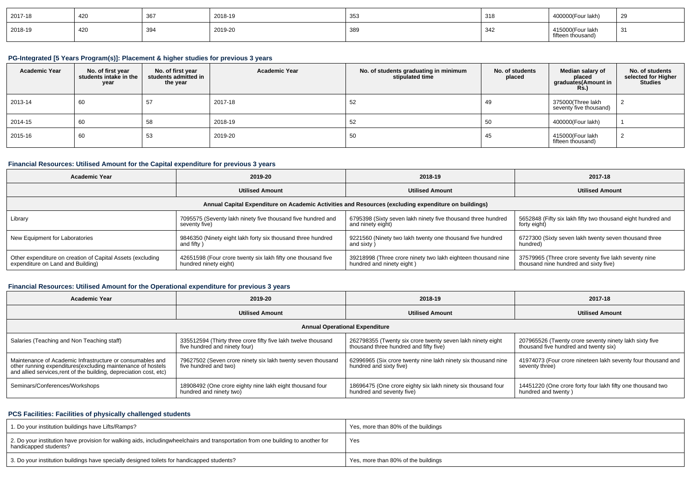| 2017-18 | 420 | $\sim$ $\sim$ $\sim$ | 2018-19 | 353 | 318        | 400000(Four lakh)                     | <b>29</b> |
|---------|-----|----------------------|---------|-----|------------|---------------------------------------|-----------|
| 2018-19 | 420 | $\sim$<br>ບອ'        | 2019-20 | 389 | 312<br>، س | 415000(Four lakh<br>fifteen thousand) | 31        |

### **PG-Integrated [5 Years Program(s)]: Placement & higher studies for previous 3 years**

| <b>Academic Year</b> | No. of first year<br>students intake in the<br>year | No. of first year<br>students admitted in<br>the year | <b>Academic Year</b> | No. of students graduating in minimum<br>stipulated time | No. of students<br>placed | Median salary of<br>placed<br>graduates(Amount in | No. of students<br>selected for Higher<br><b>Studies</b> |
|----------------------|-----------------------------------------------------|-------------------------------------------------------|----------------------|----------------------------------------------------------|---------------------------|---------------------------------------------------|----------------------------------------------------------|
| 2013-14              | 60                                                  | 57                                                    | 2017-18              | 52                                                       | 49                        | 375000(Three lakh<br>seventy five thousand)       |                                                          |
| 2014-15              | 60                                                  | 58                                                    | 2018-19              | 52                                                       | 50                        | 400000(Four lakh)                                 |                                                          |
| 2015-16              | 60                                                  | 53                                                    | 2019-20              | -50                                                      | 45                        | 415000(Four lakh<br>fifteen thousand)             |                                                          |

### **Financial Resources: Utilised Amount for the Capital expenditure for previous 3 years**

| <b>Academic Year</b>                                       | 2019-20                                                      | 2018-19                                                                                              | 2017-18                                                      |
|------------------------------------------------------------|--------------------------------------------------------------|------------------------------------------------------------------------------------------------------|--------------------------------------------------------------|
|                                                            | <b>Utilised Amount</b>                                       | <b>Utilised Amount</b>                                                                               | <b>Utilised Amount</b>                                       |
|                                                            |                                                              | Annual Capital Expenditure on Academic Activities and Resources (excluding expenditure on buildings) |                                                              |
| Library                                                    | 7095575 (Seventy lakh ninety five thousand five hundred and  | 6795398 (Sixty seven lakh ninety five thousand three hundred                                         | 5652848 (Fifty six lakh fifty two thousand eight hundred and |
|                                                            | seventy five)                                                | and ninety eight)                                                                                    | forty eight)                                                 |
| New Equipment for Laboratories                             | 9846350 (Ninety eight lakh forty six thousand three hundred  | 9221560 (Ninety two lakh twenty one thousand five hundred                                            | 6727300 (Sixty seven lakh twenty seven thousand three        |
|                                                            | and fifty)                                                   | and sixty)                                                                                           | hundred)                                                     |
| Other expenditure on creation of Capital Assets (excluding | 42651598 (Four crore twenty six lakh fifty one thousand five | 39218998 (Three crore ninety two lakh eighteen thousand nine                                         | 37579965 (Three crore seventy five lakh seventy nine         |
| expenditure on Land and Building)                          | hundred ninety eight)                                        | hundred and ninety eight)                                                                            | thousand nine hundred and sixty five)                        |

### **Financial Resources: Utilised Amount for the Operational expenditure for previous 3 years**

| <b>Academic Year</b>                                                                                                                                                                            | 2019-20                                                                                        | 2018-19                                                                                              | 2017-18                                                                                         |
|-------------------------------------------------------------------------------------------------------------------------------------------------------------------------------------------------|------------------------------------------------------------------------------------------------|------------------------------------------------------------------------------------------------------|-------------------------------------------------------------------------------------------------|
|                                                                                                                                                                                                 | <b>Utilised Amount</b>                                                                         |                                                                                                      | <b>Utilised Amount</b>                                                                          |
|                                                                                                                                                                                                 |                                                                                                | <b>Annual Operational Expenditure</b>                                                                |                                                                                                 |
| Salaries (Teaching and Non Teaching staff)                                                                                                                                                      | 335512594 (Thirty three crore fifty five lakh twelve thousand<br>five hundred and ninety four) | 262798355 (Twenty six crore twenty seven lakh ninety eight<br>thousand three hundred and fifty five) | 207965526 (Twenty crore seventy ninety lakh sixty five<br>thousand five hundred and twenty six) |
| Maintenance of Academic Infrastructure or consumables and<br>other running expenditures (excluding maintenance of hostels<br>and allied services, rent of the building, depreciation cost, etc) | 79627502 (Seven crore ninety six lakh twenty seven thousand<br>five hundred and two)           | 62996965 (Six crore twenty nine lakh ninety six thousand nine<br>hundred and sixty five)             | 41974073 (Four crore nineteen lakh seventy four thousand and<br>seventy three)                  |
| Seminars/Conferences/Workshops                                                                                                                                                                  | 18908492 (One crore eighty nine lakh eight thousand four<br>hundred and ninety two)            | 18696475 (One crore eighty six lakh ninety six thousand four<br>hundred and seventy five)            | 14451220 (One crore forty four lakh fifty one thousand two<br>hundred and twenty)               |

### **PCS Facilities: Facilities of physically challenged students**

| 1. Do your institution buildings have Lifts/Ramps?                                                                                                        | Yes, more than 80% of the buildings |
|-----------------------------------------------------------------------------------------------------------------------------------------------------------|-------------------------------------|
| 2. Do your institution have provision for walking aids, includingwheelchairs and transportation from one building to another for<br>handicapped students? | Yes                                 |
| 3. Do your institution buildings have specially designed toilets for handicapped students?                                                                | Yes, more than 80% of the buildings |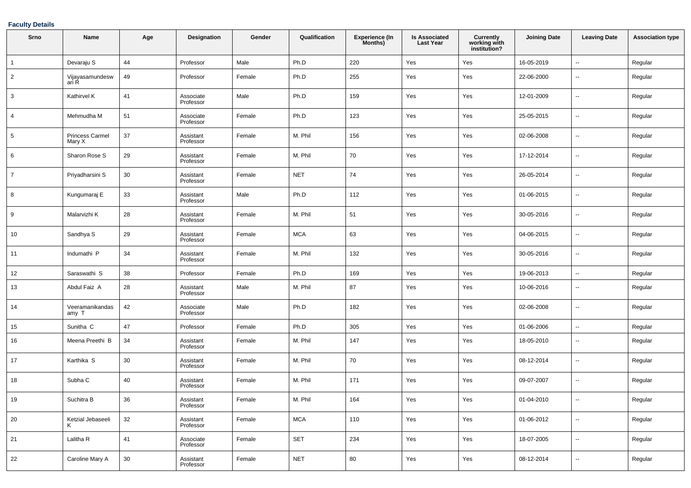### **Faculty Details**

| Srno           | Name                      | Age    | <b>Designation</b>     | Gender | Qualification | <b>Experience (In</b><br>Months) | <b>Is Associated</b><br><b>Last Year</b> | Currently<br>working with<br>institution? | <b>Joining Date</b> | <b>Leaving Date</b>      | <b>Association type</b> |
|----------------|---------------------------|--------|------------------------|--------|---------------|----------------------------------|------------------------------------------|-------------------------------------------|---------------------|--------------------------|-------------------------|
| $\overline{1}$ | Devaraju S                | 44     | Professor              | Male   | Ph.D          | 220                              | Yes                                      | Yes                                       | 16-05-2019          | Ξ.                       | Regular                 |
| $\overline{2}$ | Vijayasamundesw<br>ari R  | 49     | Professor              | Female | Ph.D          | 255                              | Yes                                      | Yes                                       | 22-06-2000          | --                       | Regular                 |
| 3              | Kathirvel K               | 41     | Associate<br>Professor | Male   | Ph.D          | 159                              | Yes                                      | Yes                                       | 12-01-2009          | $\overline{\phantom{a}}$ | Regular                 |
| 4              | Mehmudha M                | 51     | Associate<br>Professor | Female | Ph.D          | 123                              | Yes                                      | Yes                                       | 25-05-2015          | --                       | Regular                 |
| 5              | Princess Carmel<br>Mary X | 37     | Assistant<br>Professor | Female | M. Phil       | 156                              | Yes                                      | Yes                                       | 02-06-2008          | --                       | Regular                 |
| 6              | Sharon Rose S             | 29     | Assistant<br>Professor | Female | M. Phil       | 70                               | Yes                                      | Yes                                       | 17-12-2014          | $\overline{\phantom{a}}$ | Regular                 |
| $\overline{7}$ | Priyadharsini S           | 30     | Assistant<br>Professor | Female | <b>NET</b>    | 74                               | Yes                                      | Yes                                       | 26-05-2014          | $\overline{\phantom{a}}$ | Regular                 |
| 8              | Kungumaraj E              | 33     | Assistant<br>Professor | Male   | Ph.D          | 112                              | Yes                                      | Yes                                       | 01-06-2015          | $\overline{\phantom{a}}$ | Regular                 |
| 9              | Malarvizhi K              | 28     | Assistant<br>Professor | Female | M. Phil       | 51                               | Yes                                      | Yes                                       | 30-05-2016          | --                       | Regular                 |
| 10             | Sandhya S                 | 29     | Assistant<br>Professor | Female | <b>MCA</b>    | 63                               | Yes                                      | Yes                                       | 04-06-2015          | $\overline{\phantom{a}}$ | Regular                 |
| 11             | Indumathi P               | 34     | Assistant<br>Professor | Female | M. Phil       | 132                              | Yes                                      | Yes                                       | 30-05-2016          | --                       | Regular                 |
| 12             | Saraswathi S              | 38     | Professor              | Female | Ph.D          | 169                              | Yes                                      | Yes                                       | 19-06-2013          | $\overline{\phantom{a}}$ | Regular                 |
| 13             | Abdul Faiz A              | 28     | Assistant<br>Professor | Male   | M. Phil       | 87                               | Yes                                      | Yes                                       | 10-06-2016          | --                       | Regular                 |
| 14             | Veeramanikandas<br>amy T  | 42     | Associate<br>Professor | Male   | Ph.D          | 182                              | Yes                                      | Yes                                       | 02-06-2008          | --                       | Regular                 |
| 15             | Sunitha C                 | 47     | Professor              | Female | Ph.D          | 305                              | Yes                                      | Yes                                       | 01-06-2006          | --                       | Regular                 |
| 16             | Meena Preethi B           | 34     | Assistant<br>Professor | Female | M. Phil       | 147                              | Yes                                      | Yes                                       | 18-05-2010          | $\overline{\phantom{a}}$ | Regular                 |
| 17             | Karthika S                | 30     | Assistant<br>Professor | Female | M. Phil       | 70                               | Yes                                      | Yes                                       | 08-12-2014          | $\overline{\phantom{a}}$ | Regular                 |
| 18             | Subha C                   | 40     | Assistant<br>Professor | Female | M. Phil       | 171                              | Yes                                      | Yes                                       | 09-07-2007          | --                       | Regular                 |
| $\vert$ 19     | Suchitra B                | 36     | Assistant<br>Professor | Female | M. Phil       | 164                              | Yes                                      | Yes                                       | 01-04-2010          | $\overline{\phantom{a}}$ | Regular                 |
| 20             | Ketzial Jebaseeli<br>Κ    | 32     | Assistant<br>Professor | Female | <b>MCA</b>    | 110                              | Yes                                      | Yes                                       | 01-06-2012          | $\sim$                   | Regular                 |
| 21             | Lalitha R                 | 41     | Associate<br>Professor | Female | <b>SET</b>    | 234                              | Yes                                      | Yes                                       | 18-07-2005          | $\overline{\phantom{a}}$ | Regular                 |
| 22             | Caroline Mary A           | $30\,$ | Assistant<br>Professor | Female | <b>NET</b>    | 80                               | Yes                                      | Yes                                       | 08-12-2014          | $\sim$                   | Regular                 |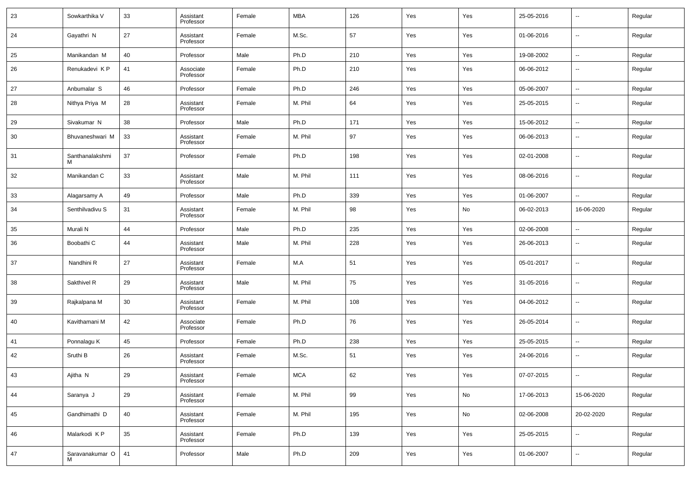| 23 | Sowkarthika V        | 33 | Assistant<br>Professor | Female | <b>MBA</b> | 126 | Yes | Yes | 25-05-2016 | $\overline{\phantom{a}}$ | Regular |
|----|----------------------|----|------------------------|--------|------------|-----|-----|-----|------------|--------------------------|---------|
| 24 | Gayathri N           | 27 | Assistant<br>Professor | Female | M.Sc.      | 57  | Yes | Yes | 01-06-2016 | $\sim$                   | Regular |
| 25 | Manikandan M         | 40 | Professor              | Male   | Ph.D       | 210 | Yes | Yes | 19-08-2002 | $\sim$                   | Regular |
| 26 | Renukadevi KP        | 41 | Associate<br>Professor | Female | Ph.D       | 210 | Yes | Yes | 06-06-2012 | $\overline{\phantom{a}}$ | Regular |
| 27 | Anbumalar S          | 46 | Professor              | Female | Ph.D       | 246 | Yes | Yes | 05-06-2007 | $\overline{\phantom{a}}$ | Regular |
| 28 | Nithya Priya M       | 28 | Assistant<br>Professor | Female | M. Phil    | 64  | Yes | Yes | 25-05-2015 | $\overline{\phantom{a}}$ | Regular |
| 29 | Sivakumar N          | 38 | Professor              | Male   | Ph.D       | 171 | Yes | Yes | 15-06-2012 | $\overline{\phantom{a}}$ | Regular |
| 30 | Bhuvaneshwari M      | 33 | Assistant<br>Professor | Female | M. Phil    | 97  | Yes | Yes | 06-06-2013 | $\overline{\phantom{a}}$ | Regular |
| 31 | Santhanalakshmi      | 37 | Professor              | Female | Ph.D       | 198 | Yes | Yes | 02-01-2008 | $\overline{\phantom{a}}$ | Regular |
| 32 | Manikandan C         | 33 | Assistant<br>Professor | Male   | M. Phil    | 111 | Yes | Yes | 08-06-2016 | $\overline{\phantom{a}}$ | Regular |
| 33 | Alagarsamy A         | 49 | Professor              | Male   | Ph.D       | 339 | Yes | Yes | 01-06-2007 | $\overline{\phantom{a}}$ | Regular |
| 34 | Senthilvadivu S      | 31 | Assistant<br>Professor | Female | M. Phil    | 98  | Yes | No  | 06-02-2013 | 16-06-2020               | Regular |
| 35 | Murali N             | 44 | Professor              | Male   | Ph.D       | 235 | Yes | Yes | 02-06-2008 | ۰.                       | Regular |
| 36 | Boobathi C           | 44 | Assistant<br>Professor | Male   | M. Phil    | 228 | Yes | Yes | 26-06-2013 | $\overline{\phantom{a}}$ | Regular |
| 37 | Nandhini R           | 27 | Assistant<br>Professor | Female | M.A        | 51  | Yes | Yes | 05-01-2017 | $\overline{\phantom{a}}$ | Regular |
| 38 | Sakthivel R          | 29 | Assistant<br>Professor | Male   | M. Phil    | 75  | Yes | Yes | 31-05-2016 | $\overline{\phantom{a}}$ | Regular |
| 39 | Rajkalpana M         | 30 | Assistant<br>Professor | Female | M. Phil    | 108 | Yes | Yes | 04-06-2012 | $\overline{\phantom{a}}$ | Regular |
| 40 | Kavithamani M        | 42 | Associate<br>Professor | Female | Ph.D       | 76  | Yes | Yes | 26-05-2014 | $\overline{\phantom{a}}$ | Regular |
| 41 | Ponnalagu K          | 45 | Professor              | Female | Ph.D       | 238 | Yes | Yes | 25-05-2015 | $\overline{\phantom{a}}$ | Regular |
| 42 | Sruthi B             | 26 | Assistant<br>Professor | Female | M.Sc.      | 51  | Yes | Yes | 24-06-2016 | $\overline{\phantom{a}}$ | Regular |
| 43 | Ajitha N             | 29 | Assistant<br>Professor | Female | <b>MCA</b> | 62  | Yes | Yes | 07-07-2015 | $\overline{\phantom{a}}$ | Regular |
| 44 | Saranya J            | 29 | Assistant<br>Professor | Female | M. Phil    | 99  | Yes | No  | 17-06-2013 | 15-06-2020               | Regular |
| 45 | Gandhimathi D        | 40 | Assistant<br>Professor | Female | M. Phil    | 195 | Yes | No  | 02-06-2008 | 20-02-2020               | Regular |
| 46 | Malarkodi K P        | 35 | Assistant<br>Professor | Female | Ph.D       | 139 | Yes | Yes | 25-05-2015 | $\sim$                   | Regular |
| 47 | Saravanakumar O<br>м | 41 | Professor              | Male   | Ph.D       | 209 | Yes | Yes | 01-06-2007 | $\sim$                   | Regular |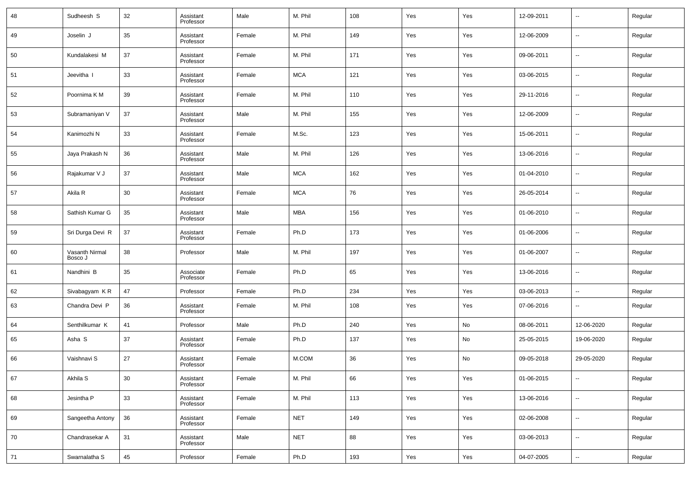| 48 | Sudheesh S                | 32 | Assistant<br>Professor | Male   | M. Phil    | 108 | Yes | Yes | 12-09-2011 | $\overline{\phantom{a}}$ | Regular |
|----|---------------------------|----|------------------------|--------|------------|-----|-----|-----|------------|--------------------------|---------|
| 49 | Joselin J                 | 35 | Assistant<br>Professor | Female | M. Phil    | 149 | Yes | Yes | 12-06-2009 | $\overline{\phantom{a}}$ | Regular |
| 50 | Kundalakesi M             | 37 | Assistant<br>Professor | Female | M. Phil    | 171 | Yes | Yes | 09-06-2011 | $\overline{\phantom{a}}$ | Regular |
| 51 | Jeevitha                  | 33 | Assistant<br>Professor | Female | <b>MCA</b> | 121 | Yes | Yes | 03-06-2015 | $\overline{\phantom{a}}$ | Regular |
| 52 | Poornima K M              | 39 | Assistant<br>Professor | Female | M. Phil    | 110 | Yes | Yes | 29-11-2016 | $\overline{\phantom{a}}$ | Regular |
| 53 | Subramaniyan V            | 37 | Assistant<br>Professor | Male   | M. Phil    | 155 | Yes | Yes | 12-06-2009 | $\overline{\phantom{a}}$ | Regular |
| 54 | Kanimozhi N               | 33 | Assistant<br>Professor | Female | M.Sc.      | 123 | Yes | Yes | 15-06-2011 | $\overline{\phantom{a}}$ | Regular |
| 55 | Jaya Prakash N            | 36 | Assistant<br>Professor | Male   | M. Phil    | 126 | Yes | Yes | 13-06-2016 | $\overline{\phantom{a}}$ | Regular |
| 56 | Rajakumar V J             | 37 | Assistant<br>Professor | Male   | <b>MCA</b> | 162 | Yes | Yes | 01-04-2010 | $\overline{\phantom{a}}$ | Regular |
| 57 | Akila R                   | 30 | Assistant<br>Professor | Female | <b>MCA</b> | 76  | Yes | Yes | 26-05-2014 | $\overline{\phantom{a}}$ | Regular |
| 58 | Sathish Kumar G           | 35 | Assistant<br>Professor | Male   | <b>MBA</b> | 156 | Yes | Yes | 01-06-2010 | $\overline{\phantom{a}}$ | Regular |
| 59 | Sri Durga Devi R          | 37 | Assistant<br>Professor | Female | Ph.D       | 173 | Yes | Yes | 01-06-2006 | $\overline{\phantom{a}}$ | Regular |
| 60 | Vasanth Nirmal<br>Bosco J | 38 | Professor              | Male   | M. Phil    | 197 | Yes | Yes | 01-06-2007 | $\overline{\phantom{a}}$ | Regular |
| 61 | Nandhini B                | 35 | Associate<br>Professor | Female | Ph.D       | 65  | Yes | Yes | 13-06-2016 | $\overline{\phantom{a}}$ | Regular |
| 62 | Sivabagyam KR             | 47 | Professor              | Female | Ph.D       | 234 | Yes | Yes | 03-06-2013 | $\overline{\phantom{a}}$ | Regular |
| 63 | Chandra Devi P            | 36 | Assistant<br>Professor | Female | M. Phil    | 108 | Yes | Yes | 07-06-2016 | $\overline{\phantom{a}}$ | Regular |
| 64 | Senthilkumar K            | 41 | Professor              | Male   | Ph.D       | 240 | Yes | No  | 08-06-2011 | 12-06-2020               | Regular |
| 65 | Asha S                    | 37 | Assistant<br>Professor | Female | Ph.D       | 137 | Yes | No  | 25-05-2015 | 19-06-2020               | Regular |
| 66 | Vaishnavi S               | 27 | Assistant<br>Professor | Female | M.COM      | 36  | Yes | No  | 09-05-2018 | 29-05-2020               | Regular |
| 67 | Akhila S                  | 30 | Assistant<br>Professor | Female | M. Phil    | 66  | Yes | Yes | 01-06-2015 | $\overline{\phantom{a}}$ | Regular |
| 68 | Jesintha P                | 33 | Assistant<br>Professor | Female | M. Phil    | 113 | Yes | Yes | 13-06-2016 | $\overline{\phantom{a}}$ | Regular |
| 69 | Sangeetha Antony          | 36 | Assistant<br>Professor | Female | <b>NET</b> | 149 | Yes | Yes | 02-06-2008 | $\overline{\phantom{a}}$ | Regular |
| 70 | Chandrasekar A            | 31 | Assistant<br>Professor | Male   | <b>NET</b> | 88  | Yes | Yes | 03-06-2013 | $\overline{\phantom{a}}$ | Regular |
| 71 | Swarnalatha S             | 45 | Professor              | Female | Ph.D       | 193 | Yes | Yes | 04-07-2005 | $\overline{\phantom{a}}$ | Regular |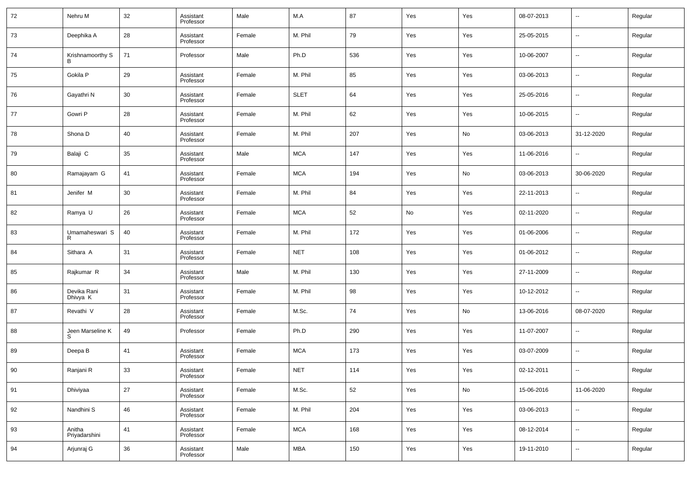| 72 | Nehru M                 | 32 | Assistant<br>Professor | Male   | M.A         | 87  | Yes | Yes | 08-07-2013 | $\overline{\phantom{a}}$ | Regular |
|----|-------------------------|----|------------------------|--------|-------------|-----|-----|-----|------------|--------------------------|---------|
| 73 | Deephika A              | 28 | Assistant<br>Professor | Female | M. Phil     | 79  | Yes | Yes | 25-05-2015 | $\overline{\phantom{a}}$ | Regular |
| 74 | Krishnamoorthy S        | 71 | Professor              | Male   | Ph.D        | 536 | Yes | Yes | 10-06-2007 | $\overline{\phantom{a}}$ | Regular |
| 75 | Gokila P                | 29 | Assistant<br>Professor | Female | M. Phil     | 85  | Yes | Yes | 03-06-2013 | $\overline{\phantom{a}}$ | Regular |
| 76 | Gayathri N              | 30 | Assistant<br>Professor | Female | <b>SLET</b> | 64  | Yes | Yes | 25-05-2016 | $\overline{\phantom{a}}$ | Regular |
| 77 | Gowri P                 | 28 | Assistant<br>Professor | Female | M. Phil     | 62  | Yes | Yes | 10-06-2015 | --                       | Regular |
| 78 | Shona D                 | 40 | Assistant<br>Professor | Female | M. Phil     | 207 | Yes | No  | 03-06-2013 | 31-12-2020               | Regular |
| 79 | Balaji C                | 35 | Assistant<br>Professor | Male   | <b>MCA</b>  | 147 | Yes | Yes | 11-06-2016 | ۰.                       | Regular |
| 80 | Ramajayam G             | 41 | Assistant<br>Professor | Female | <b>MCA</b>  | 194 | Yes | No  | 03-06-2013 | 30-06-2020               | Regular |
| 81 | Jenifer M               | 30 | Assistant<br>Professor | Female | M. Phil     | 84  | Yes | Yes | 22-11-2013 | $\overline{\phantom{a}}$ | Regular |
| 82 | Ramya U                 | 26 | Assistant<br>Professor | Female | <b>MCA</b>  | 52  | No  | Yes | 02-11-2020 | $\overline{\phantom{a}}$ | Regular |
| 83 | Umamaheswari S          | 40 | Assistant<br>Professor | Female | M. Phil     | 172 | Yes | Yes | 01-06-2006 | $\overline{\phantom{a}}$ | Regular |
| 84 | Sithara A               | 31 | Assistant<br>Professor | Female | <b>NET</b>  | 108 | Yes | Yes | 01-06-2012 | $\overline{\phantom{a}}$ | Regular |
| 85 | Rajkumar R              | 34 | Assistant<br>Professor | Male   | M. Phil     | 130 | Yes | Yes | 27-11-2009 | $\overline{\phantom{a}}$ | Regular |
| 86 | Devika Rani<br>Dhivya K | 31 | Assistant<br>Professor | Female | M. Phil     | 98  | Yes | Yes | 10-12-2012 | ۰.                       | Regular |
| 87 | Revathi V               | 28 | Assistant<br>Professor | Female | M.Sc.       | 74  | Yes | No  | 13-06-2016 | 08-07-2020               | Regular |
| 88 | Jeen Marseline K<br>S   | 49 | Professor              | Female | Ph.D        | 290 | Yes | Yes | 11-07-2007 | --                       | Regular |
| 89 | Deepa B                 | 41 | Assistant<br>Professor | Female | <b>MCA</b>  | 173 | Yes | Yes | 03-07-2009 | $\overline{\phantom{a}}$ | Regular |
| 90 | Ranjani R               | 33 | Assistant<br>Professor | Female | <b>NET</b>  | 114 | Yes | Yes | 02-12-2011 | $\overline{\phantom{a}}$ | Regular |
| 91 | Dhiviyaa                | 27 | Assistant<br>Professor | Female | M.Sc.       | 52  | Yes | No  | 15-06-2016 | 11-06-2020               | Regular |
| 92 | Nandhini S              | 46 | Assistant<br>Professor | Female | M. Phil     | 204 | Yes | Yes | 03-06-2013 | $\overline{\phantom{a}}$ | Regular |
| 93 | Anitha<br>Priyadarshini | 41 | Assistant<br>Professor | Female | <b>MCA</b>  | 168 | Yes | Yes | 08-12-2014 | $\sim$                   | Regular |
| 94 | Arjunraj G              | 36 | Assistant<br>Professor | Male   | <b>MBA</b>  | 150 | Yes | Yes | 19-11-2010 | $\overline{\phantom{a}}$ | Regular |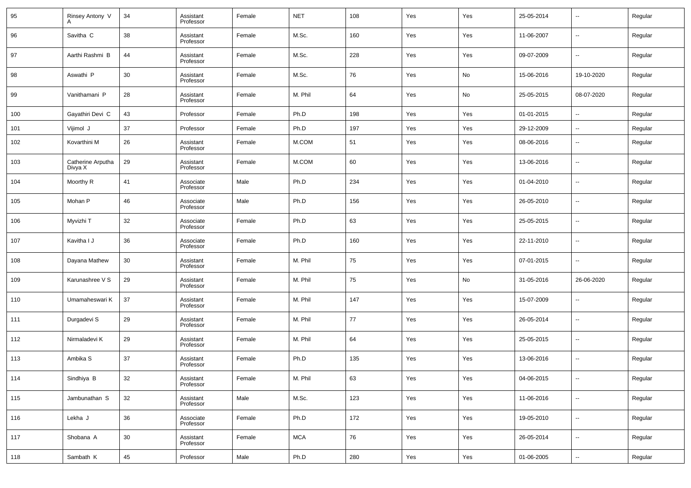| 95  | Rinsey Antony V              | 34 | Assistant<br>Professor | Female | <b>NET</b> | 108        | Yes | Yes | 25-05-2014 | $\overline{\phantom{a}}$ | Regular |
|-----|------------------------------|----|------------------------|--------|------------|------------|-----|-----|------------|--------------------------|---------|
| 96  | Savitha C                    | 38 | Assistant<br>Professor | Female | M.Sc.      | 160        | Yes | Yes | 11-06-2007 | $\overline{\phantom{a}}$ | Regular |
| 97  | Aarthi Rashmi B              | 44 | Assistant<br>Professor | Female | M.Sc.      | 228        | Yes | Yes | 09-07-2009 | $\overline{\phantom{a}}$ | Regular |
| 98  | Aswathi P                    | 30 | Assistant<br>Professor | Female | M.Sc.      | 76         | Yes | No  | 15-06-2016 | 19-10-2020               | Regular |
| 99  | Vanithamani P                | 28 | Assistant<br>Professor | Female | M. Phil    | 64         | Yes | No  | 25-05-2015 | 08-07-2020               | Regular |
| 100 | Gayathiri Devi C             | 43 | Professor              | Female | Ph.D       | 198        | Yes | Yes | 01-01-2015 | $\overline{\phantom{a}}$ | Regular |
| 101 | Vijimol J                    | 37 | Professor              | Female | Ph.D       | 197        | Yes | Yes | 29-12-2009 | --                       | Regular |
| 102 | Kovarthini M                 | 26 | Assistant<br>Professor | Female | M.COM      | 51         | Yes | Yes | 08-06-2016 | $\sim$                   | Regular |
| 103 | Catherine Arputha<br>Divya X | 29 | Assistant<br>Professor | Female | M.COM      | 60         | Yes | Yes | 13-06-2016 | $\overline{\phantom{a}}$ | Regular |
| 104 | Moorthy R                    | 41 | Associate<br>Professor | Male   | Ph.D       | 234        | Yes | Yes | 01-04-2010 | $\overline{\phantom{a}}$ | Regular |
| 105 | Mohan P                      | 46 | Associate<br>Professor | Male   | Ph.D       | 156        | Yes | Yes | 26-05-2010 | $\overline{\phantom{a}}$ | Regular |
| 106 | Myvizhi T                    | 32 | Associate<br>Professor | Female | Ph.D       | 63         | Yes | Yes | 25-05-2015 | $\overline{\phantom{a}}$ | Regular |
| 107 | Kavitha I J                  | 36 | Associate<br>Professor | Female | Ph.D       | 160        | Yes | Yes | 22-11-2010 | $\overline{\phantom{a}}$ | Regular |
| 108 | Dayana Mathew                | 30 | Assistant<br>Professor | Female | M. Phil    | 75         | Yes | Yes | 07-01-2015 | $\overline{\phantom{a}}$ | Regular |
| 109 | Karunashree V S              | 29 | Assistant<br>Professor | Female | M. Phil    | 75         | Yes | No  | 31-05-2016 | 26-06-2020               | Regular |
| 110 | Umamaheswari K               | 37 | Assistant<br>Professor | Female | M. Phil    | 147        | Yes | Yes | 15-07-2009 | $\overline{\phantom{a}}$ | Regular |
| 111 | Durgadevi S                  | 29 | Assistant<br>Professor | Female | M. Phil    | 77         | Yes | Yes | 26-05-2014 | $\overline{\phantom{a}}$ | Regular |
| 112 | Nirmaladevi K                | 29 | Assistant<br>Professor | Female | M. Phil    | 64         | Yes | Yes | 25-05-2015 | $\overline{\phantom{a}}$ | Regular |
| 113 | Ambika S                     | 37 | Assistant<br>Professor | Female | Ph.D       | 135        | Yes | Yes | 13-06-2016 | $\overline{\phantom{a}}$ | Regular |
| 114 | Sindhiya B                   | 32 | Assistant<br>Professor | Female | M. Phil    | 63         | Yes | Yes | 04-06-2015 | $\overline{\phantom{a}}$ | Regular |
| 115 | Jambunathan S                | 32 | Assistant<br>Professor | Male   | M.Sc.      | 123        | Yes | Yes | 11-06-2016 | $\overline{\phantom{a}}$ | Regular |
| 116 | Lekha J                      | 36 | Associate<br>Professor | Female | Ph.D       | 172        | Yes | Yes | 19-05-2010 | $\overline{\phantom{a}}$ | Regular |
| 117 | Shobana A                    | 30 | Assistant<br>Professor | Female | <b>MCA</b> | ${\bf 76}$ | Yes | Yes | 26-05-2014 | $\overline{\phantom{a}}$ | Regular |
| 118 | Sambath K                    | 45 | Professor              | Male   | Ph.D       | 280        | Yes | Yes | 01-06-2005 | $\overline{\phantom{a}}$ | Regular |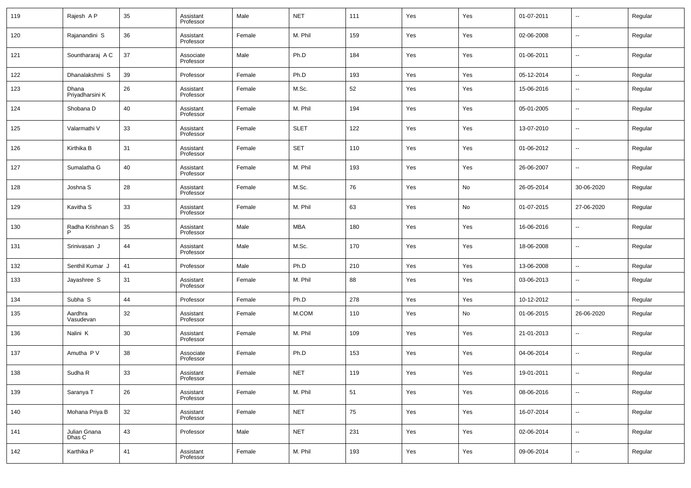| 119 | Rajesh AP                | 35 | Assistant<br>Professor | Male   | <b>NET</b>  | 111 | Yes | Yes | 01-07-2011 | $\overline{\phantom{a}}$ | Regular |
|-----|--------------------------|----|------------------------|--------|-------------|-----|-----|-----|------------|--------------------------|---------|
| 120 | Rajanandini S            | 36 | Assistant<br>Professor | Female | M. Phil     | 159 | Yes | Yes | 02-06-2008 | $\overline{\phantom{a}}$ | Regular |
| 121 | Sounthararaj A C         | 37 | Associate<br>Professor | Male   | Ph.D        | 184 | Yes | Yes | 01-06-2011 | $\overline{\phantom{a}}$ | Regular |
| 122 | Dhanalakshmi S           | 39 | Professor              | Female | Ph.D        | 193 | Yes | Yes | 05-12-2014 | $\overline{\phantom{a}}$ | Regular |
| 123 | Dhana<br>Priyadharsini K | 26 | Assistant<br>Professor | Female | M.Sc.       | 52  | Yes | Yes | 15-06-2016 | $\overline{\phantom{a}}$ | Regular |
| 124 | Shobana D                | 40 | Assistant<br>Professor | Female | M. Phil     | 194 | Yes | Yes | 05-01-2005 | $\overline{\phantom{a}}$ | Regular |
| 125 | Valarmathi V             | 33 | Assistant<br>Professor | Female | <b>SLET</b> | 122 | Yes | Yes | 13-07-2010 | --                       | Regular |
| 126 | Kirthika B               | 31 | Assistant<br>Professor | Female | <b>SET</b>  | 110 | Yes | Yes | 01-06-2012 | $\overline{\phantom{a}}$ | Regular |
| 127 | Sumalatha G              | 40 | Assistant<br>Professor | Female | M. Phil     | 193 | Yes | Yes | 26-06-2007 | $\overline{\phantom{a}}$ | Regular |
| 128 | Joshna S                 | 28 | Assistant<br>Professor | Female | M.Sc.       | 76  | Yes | No  | 26-05-2014 | 30-06-2020               | Regular |
| 129 | Kavitha S                | 33 | Assistant<br>Professor | Female | M. Phil     | 63  | Yes | No  | 01-07-2015 | 27-06-2020               | Regular |
| 130 | Radha Krishnan S<br>P    | 35 | Assistant<br>Professor | Male   | <b>MBA</b>  | 180 | Yes | Yes | 16-06-2016 | $\overline{\phantom{a}}$ | Regular |
| 131 | Srinivasan J             | 44 | Assistant<br>Professor | Male   | M.Sc.       | 170 | Yes | Yes | 18-06-2008 | $\overline{\phantom{a}}$ | Regular |
| 132 | Senthil Kumar J          | 41 | Professor              | Male   | Ph.D        | 210 | Yes | Yes | 13-06-2008 | $\overline{\phantom{a}}$ | Regular |
| 133 | Jayashree S              | 31 | Assistant<br>Professor | Female | M. Phil     | 88  | Yes | Yes | 03-06-2013 | $\sim$                   | Regular |
| 134 | Subha S                  | 44 | Professor              | Female | Ph.D        | 278 | Yes | Yes | 10-12-2012 | $\overline{\phantom{a}}$ | Regular |
| 135 | Aardhra<br>Vasudevan     | 32 | Assistant<br>Professor | Female | M.COM       | 110 | Yes | No  | 01-06-2015 | 26-06-2020               | Regular |
| 136 | Nalini K                 | 30 | Assistant<br>Professor | Female | M. Phil     | 109 | Yes | Yes | 21-01-2013 | $\overline{\phantom{a}}$ | Regular |
| 137 | Amutha P V               | 38 | Associate<br>Professor | Female | Ph.D        | 153 | Yes | Yes | 04-06-2014 | $\overline{\phantom{a}}$ | Regular |
| 138 | Sudha R                  | 33 | Assistant<br>Professor | Female | <b>NET</b>  | 119 | Yes | Yes | 19-01-2011 | $\overline{\phantom{a}}$ | Regular |
| 139 | Saranya T                | 26 | Assistant<br>Professor | Female | M. Phil     | 51  | Yes | Yes | 08-06-2016 | $\overline{\phantom{a}}$ | Regular |
| 140 | Mohana Priya B           | 32 | Assistant<br>Professor | Female | <b>NET</b>  | 75  | Yes | Yes | 16-07-2014 | $\overline{\phantom{a}}$ | Regular |
| 141 | Julian Gnana<br>Dhas C   | 43 | Professor              | Male   | <b>NET</b>  | 231 | Yes | Yes | 02-06-2014 | $\overline{\phantom{a}}$ | Regular |
| 142 | Karthika P               | 41 | Assistant<br>Professor | Female | M. Phil     | 193 | Yes | Yes | 09-06-2014 | $\overline{\phantom{a}}$ | Regular |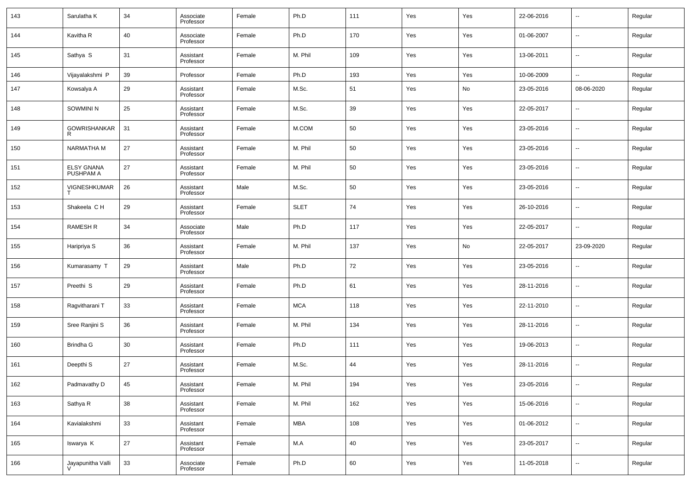| 143 | Sarulatha K                    | 34 | Associate<br>Professor | Female | Ph.D        | 111    | Yes | Yes | 22-06-2016 | $\overline{\phantom{a}}$ | Regular |
|-----|--------------------------------|----|------------------------|--------|-------------|--------|-----|-----|------------|--------------------------|---------|
| 144 | Kavitha R                      | 40 | Associate<br>Professor | Female | Ph.D        | 170    | Yes | Yes | 01-06-2007 | $\overline{\phantom{a}}$ | Regular |
| 145 | Sathya S                       | 31 | Assistant<br>Professor | Female | M. Phil     | 109    | Yes | Yes | 13-06-2011 | $\overline{\phantom{a}}$ | Regular |
| 146 | Vijayalakshmi P                | 39 | Professor              | Female | Ph.D        | 193    | Yes | Yes | 10-06-2009 | ۰.                       | Regular |
| 147 | Kowsalya A                     | 29 | Assistant<br>Professor | Female | M.Sc.       | 51     | Yes | No  | 23-05-2016 | 08-06-2020               | Regular |
| 148 | SOWMINI N                      | 25 | Assistant<br>Professor | Female | M.Sc.       | 39     | Yes | Yes | 22-05-2017 | $\overline{\phantom{a}}$ | Regular |
| 149 | <b>GOWRISHANKAR</b><br>R       | 31 | Assistant<br>Professor | Female | M.COM       | 50     | Yes | Yes | 23-05-2016 | $\overline{\phantom{a}}$ | Regular |
| 150 | NARMATHA M                     | 27 | Assistant<br>Professor | Female | M. Phil     | 50     | Yes | Yes | 23-05-2016 | $\overline{\phantom{a}}$ | Regular |
| 151 | <b>ELSY GNANA</b><br>PUSHPAM A | 27 | Assistant<br>Professor | Female | M. Phil     | 50     | Yes | Yes | 23-05-2016 | $\overline{\phantom{a}}$ | Regular |
| 152 | VIGNESHKUMAR                   | 26 | Assistant<br>Professor | Male   | M.Sc.       | 50     | Yes | Yes | 23-05-2016 | $\overline{\phantom{a}}$ | Regular |
| 153 | Shakeela C H                   | 29 | Assistant<br>Professor | Female | <b>SLET</b> | 74     | Yes | Yes | 26-10-2016 | $\overline{\phantom{a}}$ | Regular |
| 154 | <b>RAMESH R</b>                | 34 | Associate<br>Professor | Male   | Ph.D        | 117    | Yes | Yes | 22-05-2017 | $\overline{\phantom{a}}$ | Regular |
| 155 | Haripriya S                    | 36 | Assistant<br>Professor | Female | M. Phil     | 137    | Yes | No  | 22-05-2017 | 23-09-2020               | Regular |
| 156 | Kumarasamy T                   | 29 | Assistant<br>Professor | Male   | Ph.D        | $72\,$ | Yes | Yes | 23-05-2016 | $\overline{\phantom{a}}$ | Regular |
| 157 | Preethi <sub>S</sub>           | 29 | Assistant<br>Professor | Female | Ph.D        | 61     | Yes | Yes | 28-11-2016 | $\overline{\phantom{a}}$ | Regular |
| 158 | Ragvitharani T                 | 33 | Assistant<br>Professor | Female | <b>MCA</b>  | 118    | Yes | Yes | 22-11-2010 | $\overline{\phantom{a}}$ | Regular |
| 159 | Sree Ranjini S                 | 36 | Assistant<br>Professor | Female | M. Phil     | 134    | Yes | Yes | 28-11-2016 | $\overline{\phantom{a}}$ | Regular |
| 160 | Brindha G                      | 30 | Assistant<br>Professor | Female | Ph.D        | 111    | Yes | Yes | 19-06-2013 | $\overline{\phantom{a}}$ | Regular |
| 161 | Deepthi <sub>S</sub>           | 27 | Assistant<br>Professor | Female | M.Sc.       | 44     | Yes | Yes | 28-11-2016 | $\overline{\phantom{a}}$ | Regular |
| 162 | Padmavathy D                   | 45 | Assistant<br>Professor | Female | M. Phil     | 194    | Yes | Yes | 23-05-2016 | ۰.                       | Regular |
| 163 | Sathya R                       | 38 | Assistant<br>Professor | Female | M. Phil     | 162    | Yes | Yes | 15-06-2016 | $\overline{\phantom{a}}$ | Regular |
| 164 | Kavialakshmi                   | 33 | Assistant<br>Professor | Female | MBA         | 108    | Yes | Yes | 01-06-2012 | ۰.                       | Regular |
| 165 | Iswarya K                      | 27 | Assistant<br>Professor | Female | M.A         | 40     | Yes | Yes | 23-05-2017 | $\overline{\phantom{a}}$ | Regular |
| 166 | Jayapunitha Valli              | 33 | Associate<br>Professor | Female | Ph.D        | 60     | Yes | Yes | 11-05-2018 | $\overline{\phantom{a}}$ | Regular |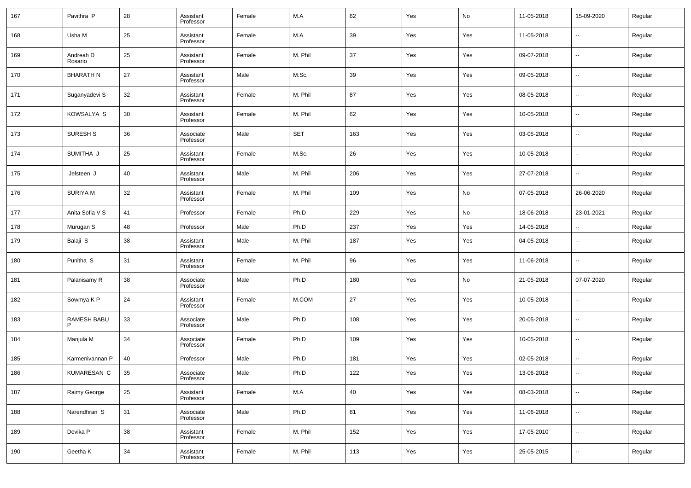| 167 | Pavithra P           | 28 | Assistant<br>Professor | Female | M.A        | 62  | Yes | No  | 11-05-2018 | 15-09-2020               | Regular |
|-----|----------------------|----|------------------------|--------|------------|-----|-----|-----|------------|--------------------------|---------|
| 168 | Usha M               | 25 | Assistant<br>Professor | Female | M.A        | 39  | Yes | Yes | 11-05-2018 | $\overline{\phantom{a}}$ | Regular |
| 169 | Andreah D<br>Rosario | 25 | Assistant<br>Professor | Female | M. Phil    | 37  | Yes | Yes | 09-07-2018 | $\overline{\phantom{a}}$ | Regular |
| 170 | <b>BHARATH N</b>     | 27 | Assistant<br>Professor | Male   | M.Sc.      | 39  | Yes | Yes | 09-05-2018 | $\overline{\phantom{a}}$ | Regular |
| 171 | Suganyadevi S        | 32 | Assistant<br>Professor | Female | M. Phil    | 87  | Yes | Yes | 08-05-2018 | $\overline{\phantom{a}}$ | Regular |
| 172 | KOWSALYA S           | 30 | Assistant<br>Professor | Female | M. Phil    | 62  | Yes | Yes | 10-05-2018 | $\overline{\phantom{a}}$ | Regular |
| 173 | <b>SURESH S</b>      | 36 | Associate<br>Professor | Male   | <b>SET</b> | 163 | Yes | Yes | 03-05-2018 | $\overline{\phantom{a}}$ | Regular |
| 174 | SUMITHA J            | 25 | Assistant<br>Professor | Female | M.Sc.      | 26  | Yes | Yes | 10-05-2018 | $\overline{\phantom{a}}$ | Regular |
| 175 | Jelsteen J           | 40 | Assistant<br>Professor | Male   | M. Phil    | 206 | Yes | Yes | 27-07-2018 | $\overline{\phantom{a}}$ | Regular |
| 176 | <b>SURIYAM</b>       | 32 | Assistant<br>Professor | Female | M. Phil    | 109 | Yes | No  | 07-05-2018 | 26-06-2020               | Regular |
| 177 | Anita Sofia V S      | 41 | Professor              | Female | Ph.D       | 229 | Yes | No  | 18-06-2018 | 23-01-2021               | Regular |
| 178 | Murugan S            | 48 | Professor              | Male   | Ph.D       | 237 | Yes | Yes | 14-05-2018 | $\overline{\phantom{a}}$ | Regular |
| 179 | Balaji S             | 38 | Assistant<br>Professor | Male   | M. Phil    | 187 | Yes | Yes | 04-05-2018 | $\overline{\phantom{a}}$ | Regular |
| 180 | Punitha <sub>S</sub> | 31 | Assistant<br>Professor | Female | M. Phil    | 96  | Yes | Yes | 11-06-2018 | $\overline{\phantom{a}}$ | Regular |
| 181 | Palanisamy R         | 38 | Associate<br>Professor | Male   | Ph.D       | 180 | Yes | No  | 21-05-2018 | 07-07-2020               | Regular |
| 182 | Sowmya K P           | 24 | Assistant<br>Professor | Female | M.COM      | 27  | Yes | Yes | 10-05-2018 | $\overline{\phantom{a}}$ | Regular |
| 183 | RAMESH BABU          | 33 | Associate<br>Professor | Male   | Ph.D       | 108 | Yes | Yes | 20-05-2018 | $\overline{\phantom{a}}$ | Regular |
| 184 | Manjula M            | 34 | Associate<br>Professor | Female | Ph.D       | 109 | Yes | Yes | 10-05-2018 | $\overline{\phantom{a}}$ | Regular |
| 185 | Karmenivannan P      | 40 | Professor              | Male   | Ph.D       | 181 | Yes | Yes | 02-05-2018 | $\overline{\phantom{a}}$ | Regular |
| 186 | <b>KUMARESAN C</b>   | 35 | Associate<br>Professor | Male   | Ph.D       | 122 | Yes | Yes | 13-06-2018 | $\overline{\phantom{a}}$ | Regular |
| 187 | Raimy George         | 25 | Assistant<br>Professor | Female | M.A        | 40  | Yes | Yes | 08-03-2018 | $\overline{\phantom{a}}$ | Regular |
| 188 | Narendhran S         | 31 | Associate<br>Professor | Male   | Ph.D       | 81  | Yes | Yes | 11-06-2018 | $\overline{\phantom{a}}$ | Regular |
| 189 | Devika P             | 38 | Assistant<br>Professor | Female | M. Phil    | 152 | Yes | Yes | 17-05-2010 | $\overline{\phantom{a}}$ | Regular |
| 190 | Geetha K             | 34 | Assistant<br>Professor | Female | M. Phil    | 113 | Yes | Yes | 25-05-2015 | ۰.                       | Regular |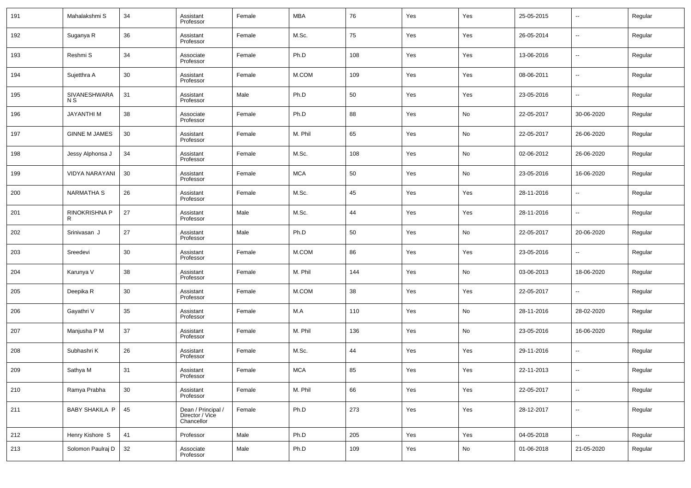| 191 | Mahalakshmi S                  | 34 | Assistant<br>Professor                              | Female | MBA        | 76  | Yes | Yes | 25-05-2015 | $\overline{\phantom{a}}$ | Regular |
|-----|--------------------------------|----|-----------------------------------------------------|--------|------------|-----|-----|-----|------------|--------------------------|---------|
| 192 | Suganya R                      | 36 | Assistant<br>Professor                              | Female | M.Sc.      | 75  | Yes | Yes | 26-05-2014 | $\overline{\phantom{a}}$ | Regular |
| 193 | Reshmi S                       | 34 | Associate<br>Professor                              | Female | Ph.D       | 108 | Yes | Yes | 13-06-2016 | $\overline{\phantom{a}}$ | Regular |
| 194 | Sujetthra A                    | 30 | Assistant<br>Professor                              | Female | M.COM      | 109 | Yes | Yes | 08-06-2011 | $\overline{\phantom{a}}$ | Regular |
| 195 | SIVANESHWARA<br>N <sub>S</sub> | 31 | Assistant<br>Professor                              | Male   | Ph.D       | 50  | Yes | Yes | 23-05-2016 | $\overline{\phantom{a}}$ | Regular |
| 196 | JAYANTHI M                     | 38 | Associate<br>Professor                              | Female | Ph.D       | 88  | Yes | No  | 22-05-2017 | 30-06-2020               | Regular |
| 197 | <b>GINNE M JAMES</b>           | 30 | Assistant<br>Professor                              | Female | M. Phil    | 65  | Yes | No  | 22-05-2017 | 26-06-2020               | Regular |
| 198 | Jessy Alphonsa J               | 34 | Assistant<br>Professor                              | Female | M.Sc.      | 108 | Yes | No  | 02-06-2012 | 26-06-2020               | Regular |
| 199 | <b>VIDYA NARAYANI</b>          | 30 | Assistant<br>Professor                              | Female | <b>MCA</b> | 50  | Yes | No  | 23-05-2016 | 16-06-2020               | Regular |
| 200 | NARMATHA S                     | 26 | Assistant<br>Professor                              | Female | M.Sc.      | 45  | Yes | Yes | 28-11-2016 | $\overline{\phantom{a}}$ | Regular |
| 201 | RINOKRISHNA P<br>R             | 27 | Assistant<br>Professor                              | Male   | M.Sc.      | 44  | Yes | Yes | 28-11-2016 | $\overline{\phantom{a}}$ | Regular |
| 202 | Srinivasan J                   | 27 | Assistant<br>Professor                              | Male   | Ph.D       | 50  | Yes | No  | 22-05-2017 | 20-06-2020               | Regular |
| 203 | Sreedevi                       | 30 | Assistant<br>Professor                              | Female | M.COM      | 86  | Yes | Yes | 23-05-2016 | $\overline{\phantom{a}}$ | Regular |
| 204 | Karunya V                      | 38 | Assistant<br>Professor                              | Female | M. Phil    | 144 | Yes | No  | 03-06-2013 | 18-06-2020               | Regular |
| 205 | Deepika R                      | 30 | Assistant<br>Professor                              | Female | M.COM      | 38  | Yes | Yes | 22-05-2017 | $\overline{\phantom{a}}$ | Regular |
| 206 | Gayathri V                     | 35 | Assistant<br>Professor                              | Female | M.A        | 110 | Yes | No  | 28-11-2016 | 28-02-2020               | Regular |
| 207 | Manjusha P M                   | 37 | Assistant<br>Professor                              | Female | M. Phil    | 136 | Yes | No  | 23-05-2016 | 16-06-2020               | Regular |
| 208 | Subhashri K                    | 26 | Assistant<br>Professor                              | Female | M.Sc.      | 44  | Yes | Yes | 29-11-2016 | $\overline{\phantom{a}}$ | Regular |
| 209 | Sathya M                       | 31 | Assistant<br>Professor                              | Female | <b>MCA</b> | 85  | Yes | Yes | 22-11-2013 | $\overline{a}$           | Regular |
| 210 | Ramya Prabha                   | 30 | Assistant<br>Professor                              | Female | M. Phil    | 66  | Yes | Yes | 22-05-2017 | $\overline{\phantom{a}}$ | Regular |
| 211 | <b>BABY SHAKILA P</b>          | 45 | Dean / Principal /<br>Director / Vice<br>Chancellor | Female | Ph.D       | 273 | Yes | Yes | 28-12-2017 | $\overline{\phantom{a}}$ | Regular |
| 212 | Henry Kishore S                | 41 | Professor                                           | Male   | Ph.D       | 205 | Yes | Yes | 04-05-2018 | $\overline{\phantom{a}}$ | Regular |
| 213 | Solomon Paulraj D              | 32 | Associate<br>Professor                              | Male   | Ph.D       | 109 | Yes | No  | 01-06-2018 | 21-05-2020               | Regular |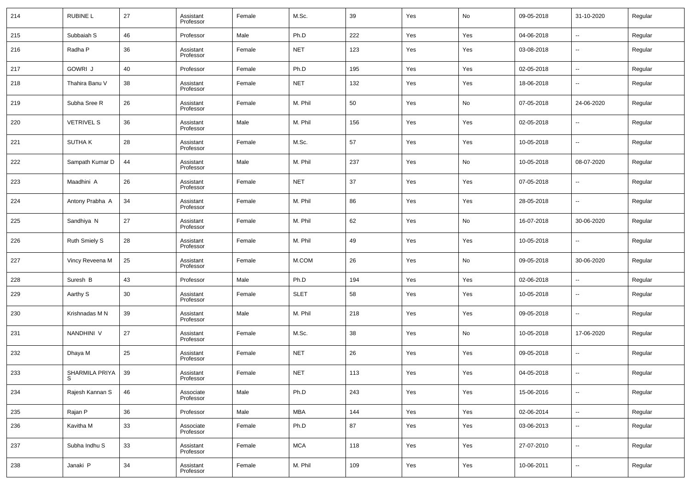| 214 | <b>RUBINE L</b>      | 27 | Assistant<br>Professor | Female | M.Sc.       | 39  | Yes | No  | 09-05-2018 | 31-10-2020               | Regular |
|-----|----------------------|----|------------------------|--------|-------------|-----|-----|-----|------------|--------------------------|---------|
| 215 | Subbaiah S           | 46 | Professor              | Male   | Ph.D        | 222 | Yes | Yes | 04-06-2018 | $\ddotsc$                | Regular |
| 216 | Radha P              | 36 | Assistant<br>Professor | Female | <b>NET</b>  | 123 | Yes | Yes | 03-08-2018 | $\overline{\phantom{a}}$ | Regular |
| 217 | <b>GOWRI J</b>       | 40 | Professor              | Female | Ph.D        | 195 | Yes | Yes | 02-05-2018 | $\overline{\phantom{a}}$ | Regular |
| 218 | Thahira Banu V       | 38 | Assistant<br>Professor | Female | <b>NET</b>  | 132 | Yes | Yes | 18-06-2018 | $\overline{\phantom{a}}$ | Regular |
| 219 | Subha Sree R         | 26 | Assistant<br>Professor | Female | M. Phil     | 50  | Yes | No  | 07-05-2018 | 24-06-2020               | Regular |
| 220 | <b>VETRIVEL S</b>    | 36 | Assistant<br>Professor | Male   | M. Phil     | 156 | Yes | Yes | 02-05-2018 | $\overline{\phantom{a}}$ | Regular |
| 221 | <b>SUTHAK</b>        | 28 | Assistant<br>Professor | Female | M.Sc.       | 57  | Yes | Yes | 10-05-2018 | $\overline{\phantom{a}}$ | Regular |
| 222 | Sampath Kumar D      | 44 | Assistant<br>Professor | Male   | M. Phil     | 237 | Yes | No  | 10-05-2018 | 08-07-2020               | Regular |
| 223 | Maadhini A           | 26 | Assistant<br>Professor | Female | <b>NET</b>  | 37  | Yes | Yes | 07-05-2018 | $\overline{\phantom{a}}$ | Regular |
| 224 | Antony Prabha A      | 34 | Assistant<br>Professor | Female | M. Phil     | 86  | Yes | Yes | 28-05-2018 | $\overline{\phantom{a}}$ | Regular |
| 225 | Sandhiya N           | 27 | Assistant<br>Professor | Female | M. Phil     | 62  | Yes | No  | 16-07-2018 | 30-06-2020               | Regular |
| 226 | <b>Ruth Smiely S</b> | 28 | Assistant<br>Professor | Female | M. Phil     | 49  | Yes | Yes | 10-05-2018 | $\overline{\phantom{a}}$ | Regular |
| 227 | Vincy Reveena M      | 25 | Assistant<br>Professor | Female | M.COM       | 26  | Yes | No  | 09-05-2018 | 30-06-2020               | Regular |
| 228 | Suresh B             | 43 | Professor              | Male   | Ph.D        | 194 | Yes | Yes | 02-06-2018 | --                       | Regular |
| 229 | Aarthy S             | 30 | Assistant<br>Professor | Female | <b>SLET</b> | 58  | Yes | Yes | 10-05-2018 | $\overline{\phantom{a}}$ | Regular |
| 230 | Krishnadas M N       | 39 | Assistant<br>Professor | Male   | M. Phil     | 218 | Yes | Yes | 09-05-2018 | $\overline{\phantom{a}}$ | Regular |
| 231 | NANDHINI V           | 27 | Assistant<br>Professor | Female | M.Sc.       | 38  | Yes | No  | 10-05-2018 | 17-06-2020               | Regular |
| 232 | Dhaya M              | 25 | Assistant<br>Professor | Female | <b>NET</b>  | 26  | Yes | Yes | 09-05-2018 | $\overline{\phantom{a}}$ | Regular |
| 233 | SHARMILA PRIYA<br>S  | 39 | Assistant<br>Professor | Female | <b>NET</b>  | 113 | Yes | Yes | 04-05-2018 | $\overline{\phantom{a}}$ | Regular |
| 234 | Rajesh Kannan S      | 46 | Associate<br>Professor | Male   | Ph.D        | 243 | Yes | Yes | 15-06-2016 | $\overline{\phantom{a}}$ | Regular |
| 235 | Rajan P              | 36 | Professor              | Male   | <b>MBA</b>  | 144 | Yes | Yes | 02-06-2014 | $\overline{\phantom{a}}$ | Regular |
| 236 | Kavitha M            | 33 | Associate<br>Professor | Female | Ph.D        | 87  | Yes | Yes | 03-06-2013 | $\overline{\phantom{a}}$ | Regular |
| 237 | Subha Indhu S        | 33 | Assistant<br>Professor | Female | <b>MCA</b>  | 118 | Yes | Yes | 27-07-2010 | $\overline{\phantom{a}}$ | Regular |
| 238 | Janaki P             | 34 | Assistant<br>Professor | Female | M. Phil     | 109 | Yes | Yes | 10-06-2011 | $\overline{\phantom{a}}$ | Regular |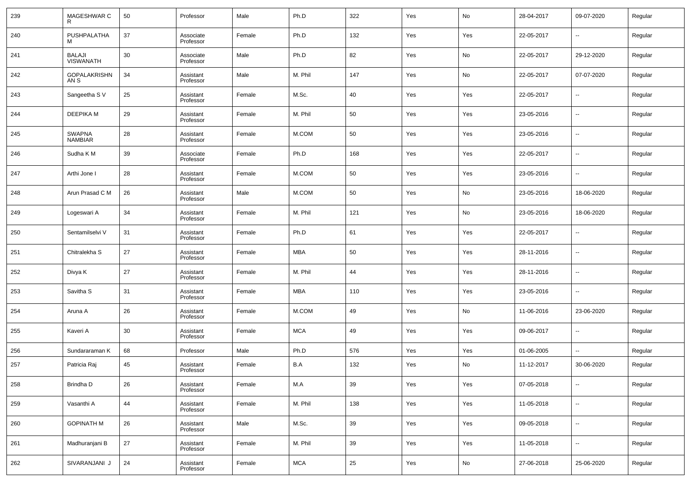| 239 | MAGESHWAR C                       | 50 | Professor              | Male   | Ph.D       | 322    | Yes | No  | 28-04-2017 | 09-07-2020               | Regular |
|-----|-----------------------------------|----|------------------------|--------|------------|--------|-----|-----|------------|--------------------------|---------|
| 240 | PUSHPALATHA                       | 37 | Associate<br>Professor | Female | Ph.D       | 132    | Yes | Yes | 22-05-2017 | $\overline{\phantom{a}}$ | Regular |
| 241 | <b>BALAJI</b><br><b>VISWANATH</b> | 30 | Associate<br>Professor | Male   | Ph.D       | 82     | Yes | No  | 22-05-2017 | 29-12-2020               | Regular |
| 242 | <b>GOPALAKRISHN</b><br>AN S       | 34 | Assistant<br>Professor | Male   | M. Phil    | 147    | Yes | No  | 22-05-2017 | 07-07-2020               | Regular |
| 243 | Sangeetha S V                     | 25 | Assistant<br>Professor | Female | M.Sc.      | 40     | Yes | Yes | 22-05-2017 | $\overline{\phantom{a}}$ | Regular |
| 244 | <b>DEEPIKA M</b>                  | 29 | Assistant<br>Professor | Female | M. Phil    | 50     | Yes | Yes | 23-05-2016 | --                       | Regular |
| 245 | <b>SWAPNA</b><br><b>NAMBIAR</b>   | 28 | Assistant<br>Professor | Female | M.COM      | 50     | Yes | Yes | 23-05-2016 | $\overline{\phantom{a}}$ | Regular |
| 246 | Sudha K M                         | 39 | Associate<br>Professor | Female | Ph.D       | 168    | Yes | Yes | 22-05-2017 | $\overline{\phantom{a}}$ | Regular |
| 247 | Arthi Jone I                      | 28 | Assistant<br>Professor | Female | M.COM      | 50     | Yes | Yes | 23-05-2016 | --                       | Regular |
| 248 | Arun Prasad C M                   | 26 | Assistant<br>Professor | Male   | M.COM      | 50     | Yes | No  | 23-05-2016 | 18-06-2020               | Regular |
| 249 | Logeswari A                       | 34 | Assistant<br>Professor | Female | M. Phil    | 121    | Yes | No  | 23-05-2016 | 18-06-2020               | Regular |
| 250 | Sentamilselvi V                   | 31 | Assistant<br>Professor | Female | Ph.D       | 61     | Yes | Yes | 22-05-2017 | --                       | Regular |
| 251 | Chitralekha S                     | 27 | Assistant<br>Professor | Female | MBA        | 50     | Yes | Yes | 28-11-2016 | $\overline{\phantom{a}}$ | Regular |
| 252 | Divya K                           | 27 | Assistant<br>Professor | Female | M. Phil    | 44     | Yes | Yes | 28-11-2016 | --                       | Regular |
| 253 | Savitha S                         | 31 | Assistant<br>Professor | Female | MBA        | 110    | Yes | Yes | 23-05-2016 | --                       | Regular |
| 254 | Aruna A                           | 26 | Assistant<br>Professor | Female | M.COM      | 49     | Yes | No  | 11-06-2016 | 23-06-2020               | Regular |
| 255 | Kaveri A                          | 30 | Assistant<br>Professor | Female | <b>MCA</b> | 49     | Yes | Yes | 09-06-2017 | --                       | Regular |
| 256 | Sundararaman K                    | 68 | Professor              | Male   | Ph.D       | 576    | Yes | Yes | 01-06-2005 | --                       | Regular |
| 257 | Patricia Raj                      | 45 | Assistant<br>Professor | Female | B.A        | 132    | Yes | No  | 11-12-2017 | 30-06-2020               | Regular |
| 258 | Brindha D                         | 26 | Assistant<br>Professor | Female | M.A        | 39     | Yes | Yes | 07-05-2018 | $\overline{\phantom{a}}$ | Regular |
| 259 | Vasanthi A                        | 44 | Assistant<br>Professor | Female | M. Phil    | 138    | Yes | Yes | 11-05-2018 | ۰.                       | Regular |
| 260 | <b>GOPINATH M</b>                 | 26 | Assistant<br>Professor | Male   | M.Sc.      | 39     | Yes | Yes | 09-05-2018 | ۰.                       | Regular |
| 261 | Madhuranjani B                    | 27 | Assistant<br>Professor | Female | M. Phil    | $39\,$ | Yes | Yes | 11-05-2018 | ۰.                       | Regular |
| 262 | SIVARANJANI J                     | 24 | Assistant<br>Professor | Female | <b>MCA</b> | 25     | Yes | No  | 27-06-2018 | 25-06-2020               | Regular |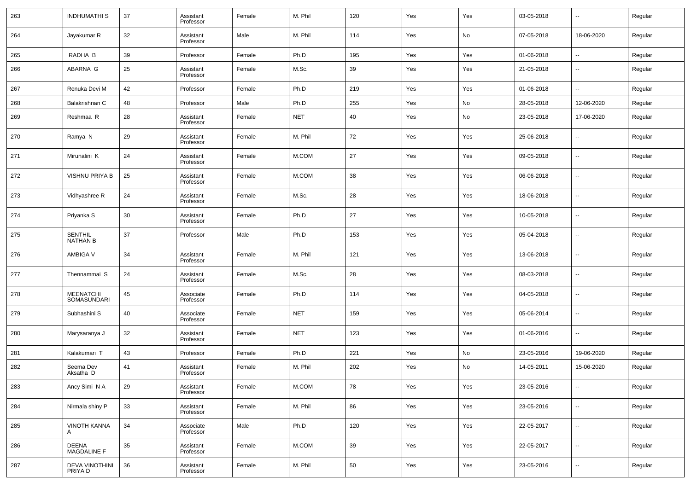| 263 | <b>INDHUMATHI S</b>               | 37 | Assistant<br>Professor | Female | M. Phil    | 120 | Yes | Yes | 03-05-2018 | $\overline{\phantom{a}}$ | Regular |
|-----|-----------------------------------|----|------------------------|--------|------------|-----|-----|-----|------------|--------------------------|---------|
| 264 | Jayakumar R                       | 32 | Assistant<br>Professor | Male   | M. Phil    | 114 | Yes | No  | 07-05-2018 | 18-06-2020               | Regular |
| 265 | RADHA B                           | 39 | Professor              | Female | Ph.D       | 195 | Yes | Yes | 01-06-2018 | $\overline{\phantom{a}}$ | Regular |
| 266 | ABARNA G                          | 25 | Assistant<br>Professor | Female | M.Sc.      | 39  | Yes | Yes | 21-05-2018 | --                       | Regular |
| 267 | Renuka Devi M                     | 42 | Professor              | Female | Ph.D       | 219 | Yes | Yes | 01-06-2018 | ÷.                       | Regular |
| 268 | Balakrishnan C                    | 48 | Professor              | Male   | Ph.D       | 255 | Yes | No  | 28-05-2018 | 12-06-2020               | Regular |
| 269 | Reshmaa R                         | 28 | Assistant<br>Professor | Female | NET        | 40  | Yes | No  | 23-05-2018 | 17-06-2020               | Regular |
| 270 | Ramya N                           | 29 | Assistant<br>Professor | Female | M. Phil    | 72  | Yes | Yes | 25-06-2018 | $\overline{\phantom{a}}$ | Regular |
| 271 | Mirunalini K                      | 24 | Assistant<br>Professor | Female | M.COM      | 27  | Yes | Yes | 09-05-2018 | --                       | Regular |
| 272 | VISHNU PRIYA B                    | 25 | Assistant<br>Professor | Female | M.COM      | 38  | Yes | Yes | 06-06-2018 | $\overline{\phantom{a}}$ | Regular |
| 273 | Vidhyashree R                     | 24 | Assistant<br>Professor | Female | M.Sc.      | 28  | Yes | Yes | 18-06-2018 | $\overline{\phantom{a}}$ | Regular |
| 274 | Priyanka S                        | 30 | Assistant<br>Professor | Female | Ph.D       | 27  | Yes | Yes | 10-05-2018 | --                       | Regular |
| 275 | <b>SENTHIL</b><br><b>NATHAN B</b> | 37 | Professor              | Male   | Ph.D       | 153 | Yes | Yes | 05-04-2018 | $\overline{\phantom{a}}$ | Regular |
| 276 | AMBIGA V                          | 34 | Assistant<br>Professor | Female | M. Phil    | 121 | Yes | Yes | 13-06-2018 | --                       | Regular |
| 277 | Thennammai S                      | 24 | Assistant<br>Professor | Female | M.Sc.      | 28  | Yes | Yes | 08-03-2018 | --                       | Regular |
| 278 | <b>MEENATCHI</b><br>SOMASUNDARI   | 45 | Associate<br>Professor | Female | Ph.D       | 114 | Yes | Yes | 04-05-2018 | $\overline{\phantom{a}}$ | Regular |
| 279 | Subhashini S                      | 40 | Associate<br>Professor | Female | <b>NET</b> | 159 | Yes | Yes | 05-06-2014 | --                       | Regular |
| 280 | Marysaranya J                     | 32 | Assistant<br>Professor | Female | <b>NET</b> | 123 | Yes | Yes | 01-06-2016 | $\overline{\phantom{a}}$ | Regular |
| 281 | Kalakumari T                      | 43 | Professor              | Female | Ph.D       | 221 | Yes | No  | 23-05-2016 | 19-06-2020               | Regular |
| 282 | Seema Dev<br>Aksatha D            | 41 | Assistant<br>Professor | Female | M. Phil    | 202 | Yes | No  | 14-05-2011 | 15-06-2020               | Regular |
| 283 | Ancy Simi N A                     | 29 | Assistant<br>Professor | Female | M.COM      | 78  | Yes | Yes | 23-05-2016 | н.                       | Regular |
| 284 | Nirmala shiny P                   | 33 | Assistant<br>Professor | Female | M. Phil    | 86  | Yes | Yes | 23-05-2016 | н.                       | Regular |
| 285 | <b>VINOTH KANNA</b><br>A          | 34 | Associate<br>Professor | Male   | Ph.D       | 120 | Yes | Yes | 22-05-2017 | $\sim$                   | Regular |
| 286 | DEENA<br>MAGDALINE F              | 35 | Assistant<br>Professor | Female | M.COM      | 39  | Yes | Yes | 22-05-2017 | −−                       | Regular |
| 287 | <b>DEVA VINOTHINI</b><br>PRIYA D  | 36 | Assistant<br>Professor | Female | M. Phil    | 50  | Yes | Yes | 23-05-2016 | $\sim$                   | Regular |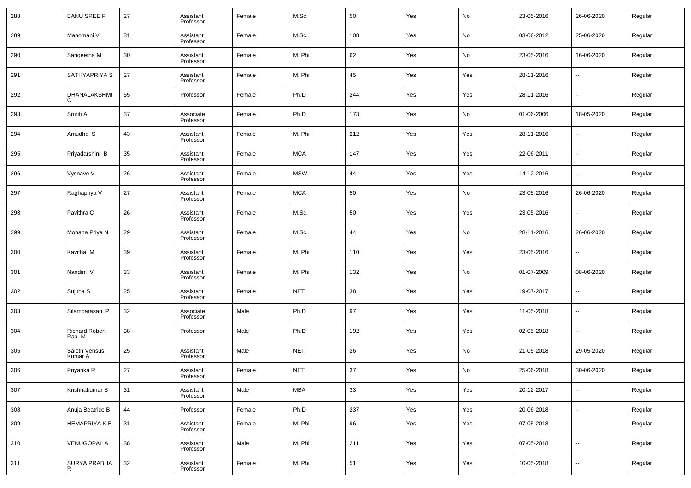| 288 | <b>BANU SREE P</b>             | 27 | Assistant<br>Professor | Female | M.Sc.      | 50     | Yes | No  | 23-05-2016 | 26-06-2020               | Regular |
|-----|--------------------------------|----|------------------------|--------|------------|--------|-----|-----|------------|--------------------------|---------|
| 289 | Manomani V                     | 31 | Assistant<br>Professor | Female | M.Sc.      | 108    | Yes | No  | 03-06-2012 | 25-06-2020               | Regular |
| 290 | Sangeetha M                    | 30 | Assistant<br>Professor | Female | M. Phil    | 62     | Yes | No  | 23-05-2016 | 16-06-2020               | Regular |
| 291 | SATHYAPRIYA S                  | 27 | Assistant<br>Professor | Female | M. Phil    | 45     | Yes | Yes | 28-11-2016 | $\overline{\phantom{a}}$ | Regular |
| 292 | DHANALAKSHMI                   | 55 | Professor              | Female | Ph.D       | 244    | Yes | Yes | 28-11-2016 | $\overline{\phantom{a}}$ | Regular |
| 293 | Smriti A                       | 37 | Associate<br>Professor | Female | Ph.D       | 173    | Yes | No  | 01-06-2006 | 18-05-2020               | Regular |
| 294 | Amudha <sub>S</sub>            | 43 | Assistant<br>Professor | Female | M. Phil    | 212    | Yes | Yes | 28-11-2016 | $\overline{\phantom{a}}$ | Regular |
| 295 | Priyadarshini B                | 35 | Assistant<br>Professor | Female | <b>MCA</b> | 147    | Yes | Yes | 22-06-2011 | $\overline{\phantom{a}}$ | Regular |
| 296 | Vysnave V                      | 26 | Assistant<br>Professor | Female | <b>MSW</b> | 44     | Yes | Yes | 14-12-2016 | $\overline{\phantom{a}}$ | Regular |
| 297 | Raghapriya V                   | 27 | Assistant<br>Professor | Female | <b>MCA</b> | 50     | Yes | No  | 23-05-2016 | 26-06-2020               | Regular |
| 298 | Pavithra C                     | 26 | Assistant<br>Professor | Female | M.Sc.      | 50     | Yes | Yes | 23-05-2016 | $\overline{\phantom{a}}$ | Regular |
| 299 | Mohana Priya N                 | 29 | Assistant<br>Professor | Female | M.Sc.      | 44     | Yes | No  | 28-11-2016 | 26-06-2020               | Regular |
| 300 | Kavitha M                      | 39 | Assistant<br>Professor | Female | M. Phil    | 110    | Yes | Yes | 23-05-2016 | $\overline{\phantom{a}}$ | Regular |
| 301 | Nandini V                      | 33 | Assistant<br>Professor | Female | M. Phil    | 132    | Yes | No  | 01-07-2009 | 08-06-2020               | Regular |
| 302 | Sujitha <sub>S</sub>           | 25 | Assistant<br>Professor | Female | <b>NET</b> | 38     | Yes | Yes | 19-07-2017 | $\sim$                   | Regular |
| 303 | Silambarasan P                 | 32 | Associate<br>Professor | Male   | Ph.D       | 97     | Yes | Yes | 11-05-2018 | $\ddotsc$                | Regular |
| 304 | <b>Richard Robert</b><br>Raa M | 38 | Professor              | Male   | Ph.D       | 192    | Yes | Yes | 02-05-2018 | $\overline{\phantom{a}}$ | Regular |
| 305 | Saleth Vensus<br>Kumar A       | 25 | Assistant<br>Professor | Male   | <b>NET</b> | 26     | Yes | No  | 21-05-2018 | 29-05-2020               | Regular |
| 306 | Priyanka R                     | 27 | Assistant<br>Professor | Female | <b>NET</b> | 37     | Yes | No  | 25-06-2018 | 30-06-2020               | Regular |
| 307 | Krishnakumar S                 | 31 | Assistant<br>Professor | Male   | <b>MBA</b> | $33\,$ | Yes | Yes | 20-12-2017 | $\overline{\phantom{a}}$ | Regular |
| 308 | Anuja Beatrice B               | 44 | Professor              | Female | Ph.D       | 237    | Yes | Yes | 20-06-2018 | $\overline{\phantom{a}}$ | Regular |
| 309 | HEMAPRIYA K E                  | 31 | Assistant<br>Professor | Female | M. Phil    | 96     | Yes | Yes | 07-05-2018 | $\overline{\phantom{a}}$ | Regular |
| 310 | <b>VENUGOPAL A</b>             | 38 | Assistant<br>Professor | Male   | M. Phil    | 211    | Yes | Yes | 07-05-2018 | $\overline{\phantom{a}}$ | Regular |
| 311 | SURYA PRABHA<br>R              | 32 | Assistant<br>Professor | Female | M. Phil    | 51     | Yes | Yes | 10-05-2018 | $\overline{\phantom{a}}$ | Regular |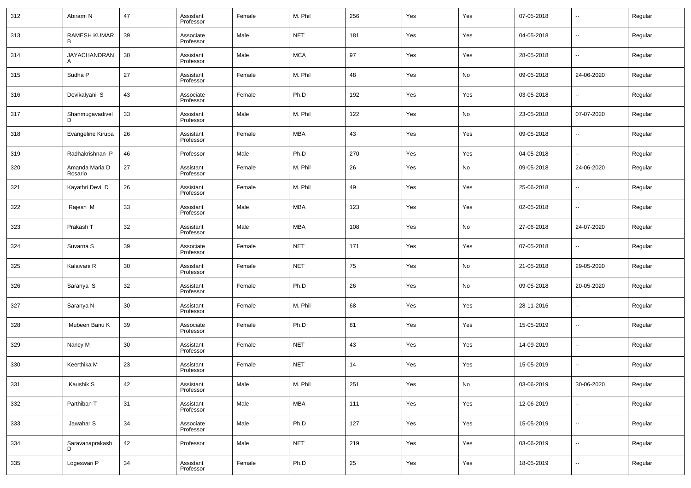| 312 | Abirami N                 | 47 | Assistant<br>Professor | Female | M. Phil    | 256 | Yes | Yes | 07-05-2018 | $\overline{\phantom{a}}$ | Regular |
|-----|---------------------------|----|------------------------|--------|------------|-----|-----|-----|------------|--------------------------|---------|
| 313 | RAMESH KUMAR<br>в         | 39 | Associate<br>Professor | Male   | <b>NET</b> | 181 | Yes | Yes | 04-05-2018 | $\overline{\phantom{a}}$ | Regular |
| 314 | JAYACHANDRAN              | 30 | Assistant<br>Professor | Male   | <b>MCA</b> | 97  | Yes | Yes | 28-05-2018 | $\overline{\phantom{a}}$ | Regular |
| 315 | Sudha P                   | 27 | Assistant<br>Professor | Female | M. Phil    | 48  | Yes | No  | 09-05-2018 | 24-06-2020               | Regular |
| 316 | Devikalyani S             | 43 | Associate<br>Professor | Female | Ph.D       | 192 | Yes | Yes | 03-05-2018 | --                       | Regular |
| 317 | Shanmugavadivel           | 33 | Assistant<br>Professor | Male   | M. Phil    | 122 | Yes | No  | 23-05-2018 | 07-07-2020               | Regular |
| 318 | Evangeline Kirupa         | 26 | Assistant<br>Professor | Female | <b>MBA</b> | 43  | Yes | Yes | 09-05-2018 | --                       | Regular |
| 319 | Radhakrishnan P           | 46 | Professor              | Male   | Ph.D       | 270 | Yes | Yes | 04-05-2018 | $\sim$                   | Regular |
| 320 | Amanda Maria D<br>Rosario | 27 | Assistant<br>Professor | Female | M. Phil    | 26  | Yes | No  | 09-05-2018 | 24-06-2020               | Regular |
| 321 | Kayathri Devi D           | 26 | Assistant<br>Professor | Female | M. Phil    | 49  | Yes | Yes | 25-06-2018 | $\overline{\phantom{a}}$ | Regular |
| 322 | Rajesh M                  | 33 | Assistant<br>Professor | Male   | MBA        | 123 | Yes | Yes | 02-05-2018 | $\overline{\phantom{a}}$ | Regular |
| 323 | Prakash T                 | 32 | Assistant<br>Professor | Male   | MBA        | 108 | Yes | No  | 27-06-2018 | 24-07-2020               | Regular |
| 324 | Suvarna S                 | 39 | Associate<br>Professor | Female | <b>NET</b> | 171 | Yes | Yes | 07-05-2018 | $\overline{\phantom{a}}$ | Regular |
| 325 | Kalaivani R               | 30 | Assistant<br>Professor | Female | <b>NET</b> | 75  | Yes | No  | 21-05-2018 | 29-05-2020               | Regular |
| 326 | Saranya S                 | 32 | Assistant<br>Professor | Female | Ph.D       | 26  | Yes | No  | 09-05-2018 | 20-05-2020               | Regular |
| 327 | Saranya N                 | 30 | Assistant<br>Professor | Female | M. Phil    | 68  | Yes | Yes | 28-11-2016 | $\overline{\phantom{a}}$ | Regular |
| 328 | Mubeen Banu K             | 39 | Associate<br>Professor | Female | Ph.D       | 81  | Yes | Yes | 15-05-2019 | $\overline{\phantom{a}}$ | Regular |
| 329 | Nancy M                   | 30 | Assistant<br>Professor | Female | <b>NET</b> | 43  | Yes | Yes | 14-09-2019 | $\overline{\phantom{a}}$ | Regular |
| 330 | Keerthika M               | 23 | Assistant<br>Professor | Female | <b>NET</b> | 14  | Yes | Yes | 15-05-2019 | $\overline{\phantom{a}}$ | Regular |
| 331 | Kaushik S                 | 42 | Assistant<br>Professor | Male   | M. Phil    | 251 | Yes | No  | 03-06-2019 | 30-06-2020               | Regular |
| 332 | Parthiban T               | 31 | Assistant<br>Professor | Male   | <b>MBA</b> | 111 | Yes | Yes | 12-06-2019 | ۰.                       | Regular |
| 333 | Jawahar S                 | 34 | Associate<br>Professor | Male   | Ph.D       | 127 | Yes | Yes | 15-05-2019 | ۰.                       | Regular |
| 334 | Saravanaprakash<br>D      | 42 | Professor              | Male   | <b>NET</b> | 219 | Yes | Yes | 03-06-2019 | $\overline{\phantom{a}}$ | Regular |
| 335 | Logeswari P               | 34 | Assistant<br>Professor | Female | Ph.D       | 25  | Yes | Yes | 18-05-2019 | $\overline{\phantom{a}}$ | Regular |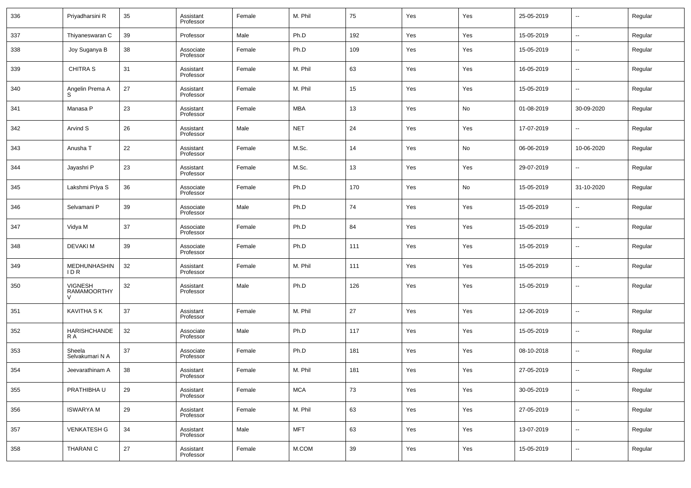| 336 | Priyadharsini R                      | 35 | Assistant<br>Professor | Female | M. Phil    | 75  | Yes | Yes | 25-05-2019 | $\overline{\phantom{a}}$ | Regular |
|-----|--------------------------------------|----|------------------------|--------|------------|-----|-----|-----|------------|--------------------------|---------|
| 337 | Thiyaneswaran C                      | 39 | Professor              | Male   | Ph.D       | 192 | Yes | Yes | 15-05-2019 | $\sim$                   | Regular |
| 338 | Joy Suganya B                        | 38 | Associate<br>Professor | Female | Ph.D       | 109 | Yes | Yes | 15-05-2019 | --                       | Regular |
| 339 | <b>CHITRA S</b>                      | 31 | Assistant<br>Professor | Female | M. Phil    | 63  | Yes | Yes | 16-05-2019 | --                       | Regular |
| 340 | Angelin Prema A<br>S                 | 27 | Assistant<br>Professor | Female | M. Phil    | 15  | Yes | Yes | 15-05-2019 | --                       | Regular |
| 341 | Manasa P                             | 23 | Assistant<br>Professor | Female | <b>MBA</b> | 13  | Yes | No  | 01-08-2019 | 30-09-2020               | Regular |
| 342 | Arvind S                             | 26 | Assistant<br>Professor | Male   | <b>NET</b> | 24  | Yes | Yes | 17-07-2019 | --                       | Regular |
| 343 | Anusha T                             | 22 | Assistant<br>Professor | Female | M.Sc.      | 14  | Yes | No  | 06-06-2019 | 10-06-2020               | Regular |
| 344 | Jayashri P                           | 23 | Assistant<br>Professor | Female | M.Sc.      | 13  | Yes | Yes | 29-07-2019 | --                       | Regular |
| 345 | Lakshmi Priya S                      | 36 | Associate<br>Professor | Female | Ph.D       | 170 | Yes | No  | 15-05-2019 | 31-10-2020               | Regular |
| 346 | Selvamani P                          | 39 | Associate<br>Professor | Male   | Ph.D       | 74  | Yes | Yes | 15-05-2019 | --                       | Regular |
| 347 | Vidya M                              | 37 | Associate<br>Professor | Female | Ph.D       | 84  | Yes | Yes | 15-05-2019 | $\overline{\phantom{a}}$ | Regular |
| 348 | <b>DEVAKIM</b>                       | 39 | Associate<br>Professor | Female | Ph.D       | 111 | Yes | Yes | 15-05-2019 | $\overline{\phantom{a}}$ | Regular |
| 349 | MEDHUNHASHIN<br>IDR.                 | 32 | Assistant<br>Professor | Female | M. Phil    | 111 | Yes | Yes | 15-05-2019 | $\overline{\phantom{a}}$ | Regular |
| 350 | <b>VIGNESH</b><br><b>RAMAMOORTHY</b> | 32 | Assistant<br>Professor | Male   | Ph.D       | 126 | Yes | Yes | 15-05-2019 | $\overline{\phantom{a}}$ | Regular |
| 351 | <b>KAVITHA S K</b>                   | 37 | Assistant<br>Professor | Female | M. Phil    | 27  | Yes | Yes | 12-06-2019 | $\overline{\phantom{a}}$ | Regular |
| 352 | HARISHCHANDE<br>R A                  | 32 | Associate<br>Professor | Male   | Ph.D       | 117 | Yes | Yes | 15-05-2019 | $\overline{\phantom{a}}$ | Regular |
| 353 | Sheela<br>Selvakumari N A            | 37 | Associate<br>Professor | Female | Ph.D       | 181 | Yes | Yes | 08-10-2018 | $\overline{\phantom{a}}$ | Regular |
| 354 | Jeevarathinam A                      | 38 | Assistant<br>Professor | Female | M. Phil    | 181 | Yes | Yes | 27-05-2019 | $\overline{\phantom{a}}$ | Regular |
| 355 | PRATHIBHA U                          | 29 | Assistant<br>Professor | Female | <b>MCA</b> | 73  | Yes | Yes | 30-05-2019 | $\overline{\phantom{a}}$ | Regular |
| 356 | <b>ISWARYA M</b>                     | 29 | Assistant<br>Professor | Female | M. Phil    | 63  | Yes | Yes | 27-05-2019 | $\ddotsc$                | Regular |
| 357 | <b>VENKATESH G</b>                   | 34 | Assistant<br>Professor | Male   | <b>MFT</b> | 63  | Yes | Yes | 13-07-2019 | $\overline{\phantom{a}}$ | Regular |
| 358 | THARANI C                            | 27 | Assistant<br>Professor | Female | M.COM      | 39  | Yes | Yes | 15-05-2019 | $\overline{\phantom{a}}$ | Regular |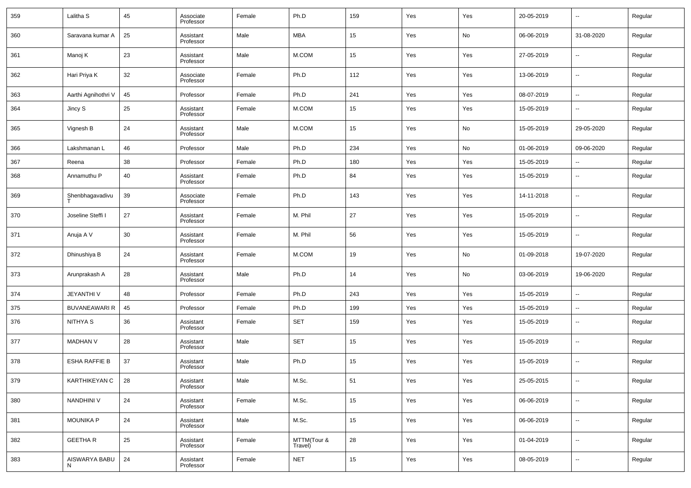| 359 | Lalitha S            | 45 | Associate<br>Professor | Female | Ph.D                   | 159    | Yes | Yes | 20-05-2019 | $\overline{\phantom{a}}$ | Regular |
|-----|----------------------|----|------------------------|--------|------------------------|--------|-----|-----|------------|--------------------------|---------|
| 360 | Saravana kumar A     | 25 | Assistant<br>Professor | Male   | MBA                    | 15     | Yes | No  | 06-06-2019 | 31-08-2020               | Regular |
| 361 | Manoj K              | 23 | Assistant<br>Professor | Male   | M.COM                  | 15     | Yes | Yes | 27-05-2019 | $\overline{\phantom{a}}$ | Regular |
| 362 | Hari Priya K         | 32 | Associate<br>Professor | Female | Ph.D                   | 112    | Yes | Yes | 13-06-2019 | $\overline{\phantom{a}}$ | Regular |
| 363 | Aarthi Agnihothri V  | 45 | Professor              | Female | Ph.D                   | 241    | Yes | Yes | 08-07-2019 | $\overline{\phantom{a}}$ | Regular |
| 364 | Jincy S              | 25 | Assistant<br>Professor | Female | M.COM                  | 15     | Yes | Yes | 15-05-2019 | $\overline{\phantom{a}}$ | Regular |
| 365 | Vignesh B            | 24 | Assistant<br>Professor | Male   | M.COM                  | 15     | Yes | No  | 15-05-2019 | 29-05-2020               | Regular |
| 366 | Lakshmanan L         | 46 | Professor              | Male   | Ph.D                   | 234    | Yes | No  | 01-06-2019 | 09-06-2020               | Regular |
| 367 | Reena                | 38 | Professor              | Female | Ph.D                   | 180    | Yes | Yes | 15-05-2019 | $\sim$                   | Regular |
| 368 | Annamuthu P          | 40 | Assistant<br>Professor | Female | Ph.D                   | 84     | Yes | Yes | 15-05-2019 | $\overline{\phantom{a}}$ | Regular |
| 369 | Shenbhagavadivu      | 39 | Associate<br>Professor | Female | Ph.D                   | 143    | Yes | Yes | 14-11-2018 | $\overline{\phantom{a}}$ | Regular |
| 370 | Joseline Steffi I    | 27 | Assistant<br>Professor | Female | M. Phil                | 27     | Yes | Yes | 15-05-2019 | $\overline{\phantom{a}}$ | Regular |
| 371 | Anuja A V            | 30 | Assistant<br>Professor | Female | M. Phil                | 56     | Yes | Yes | 15-05-2019 | $\overline{\phantom{a}}$ | Regular |
| 372 | Dhinushiya B         | 24 | Assistant<br>Professor | Female | M.COM                  | 19     | Yes | No  | 01-09-2018 | 19-07-2020               | Regular |
| 373 | Arunprakash A        | 28 | Assistant<br>Professor | Male   | Ph.D                   | 14     | Yes | No  | 03-06-2019 | 19-06-2020               | Regular |
| 374 | <b>JEYANTHI V</b>    | 48 | Professor              | Female | Ph.D                   | 243    | Yes | Yes | 15-05-2019 | $\overline{\phantom{a}}$ | Regular |
| 375 | <b>BUVANEAWARI R</b> | 45 | Professor              | Female | Ph.D                   | 199    | Yes | Yes | 15-05-2019 | $\overline{\phantom{a}}$ | Regular |
| 376 | NITHYA S             | 36 | Assistant<br>Professor | Female | <b>SET</b>             | 159    | Yes | Yes | 15-05-2019 | $\overline{\phantom{a}}$ | Regular |
| 377 | <b>MADHAN V</b>      | 28 | Assistant<br>Professor | Male   | <b>SET</b>             | 15     | Yes | Yes | 15-05-2019 | $\overline{\phantom{a}}$ | Regular |
| 378 | ESHA RAFFIE B        | 37 | Assistant<br>Professor | Male   | Ph.D                   | 15     | Yes | Yes | 15-05-2019 | $\overline{\phantom{a}}$ | Regular |
| 379 | KARTHIKEYAN C        | 28 | Assistant<br>Professor | Male   | M.Sc.                  | 51     | Yes | Yes | 25-05-2015 | ۰.                       | Regular |
| 380 | NANDHINI V           | 24 | Assistant<br>Professor | Female | M.Sc.                  | 15     | Yes | Yes | 06-06-2019 | $\overline{\phantom{a}}$ | Regular |
| 381 | <b>MOUNIKA P</b>     | 24 | Assistant<br>Professor | Male   | M.Sc.                  | 15     | Yes | Yes | 06-06-2019 | $\overline{\phantom{a}}$ | Regular |
| 382 | <b>GEETHAR</b>       | 25 | Assistant<br>Professor | Female | MTTM(Tour &<br>Travel) | 28     | Yes | Yes | 01-04-2019 | $\overline{\phantom{a}}$ | Regular |
| 383 | AISWARYA BABU<br>N   | 24 | Assistant<br>Professor | Female | NET                    | $15\,$ | Yes | Yes | 08-05-2019 | $\overline{\phantom{a}}$ | Regular |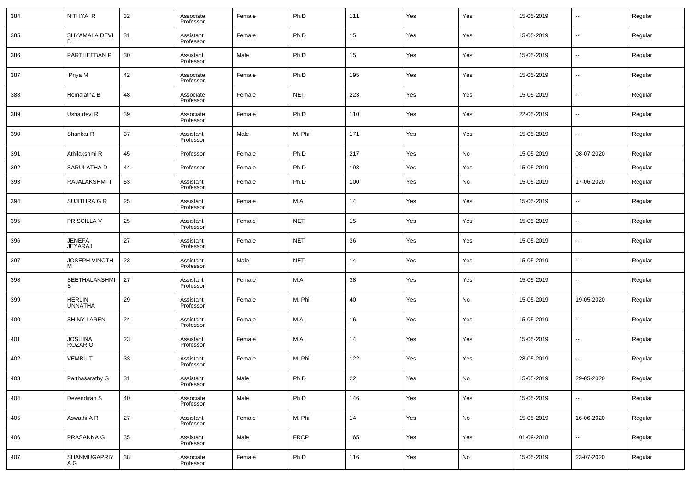| 384 | NITHYA R                        | 32 | Associate<br>Professor | Female | Ph.D        | 111 | Yes | Yes | 15-05-2019 | $\overline{\phantom{a}}$ | Regular |
|-----|---------------------------------|----|------------------------|--------|-------------|-----|-----|-----|------------|--------------------------|---------|
| 385 | SHYAMALA DEVI                   | 31 | Assistant<br>Professor | Female | Ph.D        | 15  | Yes | Yes | 15-05-2019 | $\overline{\phantom{a}}$ | Regular |
| 386 | PARTHEEBAN P                    | 30 | Assistant<br>Professor | Male   | Ph.D        | 15  | Yes | Yes | 15-05-2019 | $\overline{\phantom{a}}$ | Regular |
| 387 | Priya M                         | 42 | Associate<br>Professor | Female | Ph.D        | 195 | Yes | Yes | 15-05-2019 | $\overline{\phantom{a}}$ | Regular |
| 388 | Hemalatha B                     | 48 | Associate<br>Professor | Female | <b>NET</b>  | 223 | Yes | Yes | 15-05-2019 | $\overline{\phantom{a}}$ | Regular |
| 389 | Usha devi R                     | 39 | Associate<br>Professor | Female | Ph.D        | 110 | Yes | Yes | 22-05-2019 | $\overline{\phantom{a}}$ | Regular |
| 390 | Shankar R                       | 37 | Assistant<br>Professor | Male   | M. Phil     | 171 | Yes | Yes | 15-05-2019 | $\overline{\phantom{a}}$ | Regular |
| 391 | Athilakshmi R                   | 45 | Professor              | Female | Ph.D        | 217 | Yes | No  | 15-05-2019 | 08-07-2020               | Regular |
| 392 | SARULATHA D                     | 44 | Professor              | Female | Ph.D        | 193 | Yes | Yes | 15-05-2019 | $\overline{\phantom{a}}$ | Regular |
| 393 | RAJALAKSHMI T                   | 53 | Assistant<br>Professor | Female | Ph.D        | 100 | Yes | No  | 15-05-2019 | 17-06-2020               | Regular |
| 394 | SUJITHRA G R                    | 25 | Assistant<br>Professor | Female | M.A         | 14  | Yes | Yes | 15-05-2019 | $\sim$                   | Regular |
| 395 | PRISCILLA V                     | 25 | Assistant<br>Professor | Female | <b>NET</b>  | 15  | Yes | Yes | 15-05-2019 | $\overline{\phantom{a}}$ | Regular |
| 396 | <b>JENEFA</b><br>JEYARAJ        | 27 | Assistant<br>Professor | Female | <b>NET</b>  | 36  | Yes | Yes | 15-05-2019 | $\overline{\phantom{a}}$ | Regular |
| 397 | JOSEPH VINOTH                   | 23 | Assistant<br>Professor | Male   | <b>NET</b>  | 14  | Yes | Yes | 15-05-2019 | $\overline{\phantom{a}}$ | Regular |
| 398 | SEETHALAKSHMI<br>S              | 27 | Assistant<br>Professor | Female | M.A         | 38  | Yes | Yes | 15-05-2019 | $\sim$                   | Regular |
| 399 | <b>HERLIN</b><br><b>UNNATHA</b> | 29 | Assistant<br>Professor | Female | M. Phil     | 40  | Yes | No  | 15-05-2019 | 19-05-2020               | Regular |
| 400 | <b>SHINY LAREN</b>              | 24 | Assistant<br>Professor | Female | M.A         | 16  | Yes | Yes | 15-05-2019 | $\overline{\phantom{a}}$ | Regular |
| 401 | JOSHINA<br><b>ROZARIO</b>       | 23 | Assistant<br>Professor | Female | M.A         | 14  | Yes | Yes | 15-05-2019 | $\sim$                   | Regular |
| 402 | <b>VEMBUT</b>                   | 33 | Assistant<br>Professor | Female | M. Phil     | 122 | Yes | Yes | 28-05-2019 | $\overline{\phantom{a}}$ | Regular |
| 403 | Parthasarathy G                 | 31 | Assistant<br>Professor | Male   | Ph.D        | 22  | Yes | No  | 15-05-2019 | 29-05-2020               | Regular |
| 404 | Devendiran S                    | 40 | Associate<br>Professor | Male   | Ph.D        | 146 | Yes | Yes | 15-05-2019 | $\overline{\phantom{a}}$ | Regular |
| 405 | Aswathi A R                     | 27 | Assistant<br>Professor | Female | M. Phil     | 14  | Yes | No  | 15-05-2019 | 16-06-2020               | Regular |
| 406 | PRASANNA G                      | 35 | Assistant<br>Professor | Male   | <b>FRCP</b> | 165 | Yes | Yes | 01-09-2018 | $\overline{\phantom{a}}$ | Regular |
| 407 | SHANMUGAPRIY<br>A G             | 38 | Associate<br>Professor | Female | Ph.D        | 116 | Yes | No  | 15-05-2019 | 23-07-2020               | Regular |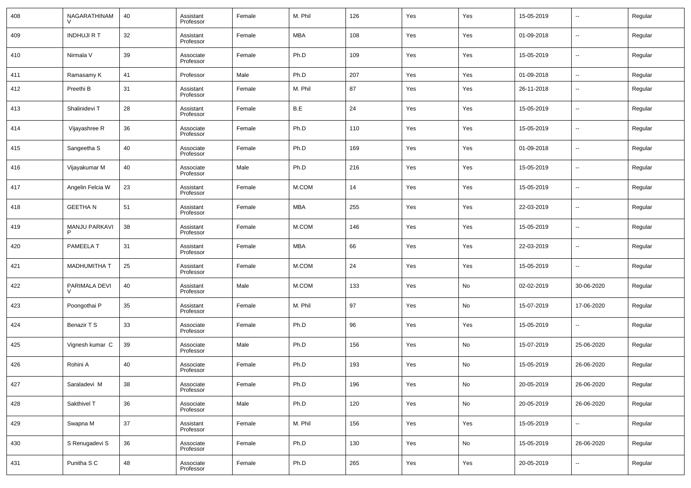| 408 | NAGARATHINAM              | 40 | Assistant<br>Professor | Female | M. Phil    | 126 | Yes | Yes | 15-05-2019 | $\overline{\phantom{a}}$ | Regular |
|-----|---------------------------|----|------------------------|--------|------------|-----|-----|-----|------------|--------------------------|---------|
| 409 | <b>INDHUJI R T</b>        | 32 | Assistant<br>Professor | Female | MBA        | 108 | Yes | Yes | 01-09-2018 | $\ddotsc$                | Regular |
| 410 | Nirmala V                 | 39 | Associate<br>Professor | Female | Ph.D       | 109 | Yes | Yes | 15-05-2019 | $\overline{\phantom{a}}$ | Regular |
| 411 | Ramasamy K                | 41 | Professor              | Male   | Ph.D       | 207 | Yes | Yes | 01-09-2018 | ۰.                       | Regular |
| 412 | Preethi B                 | 31 | Assistant<br>Professor | Female | M. Phil    | 87  | Yes | Yes | 26-11-2018 | $\overline{\phantom{a}}$ | Regular |
| 413 | Shalinidevi T             | 28 | Assistant<br>Professor | Female | B.E        | 24  | Yes | Yes | 15-05-2019 | ۰.                       | Regular |
| 414 | Vijayashree R             | 36 | Associate<br>Professor | Female | Ph.D       | 110 | Yes | Yes | 15-05-2019 | $\overline{\phantom{a}}$ | Regular |
| 415 | Sangeetha S               | 40 | Associate<br>Professor | Female | Ph.D       | 169 | Yes | Yes | 01-09-2018 | $\overline{\phantom{a}}$ | Regular |
| 416 | Vijayakumar M             | 40 | Associate<br>Professor | Male   | Ph.D       | 216 | Yes | Yes | 15-05-2019 | $\overline{\phantom{a}}$ | Regular |
| 417 | Angelin Felcia W          | 23 | Assistant<br>Professor | Female | M.COM      | 14  | Yes | Yes | 15-05-2019 | $\overline{\phantom{a}}$ | Regular |
| 418 | <b>GEETHAN</b>            | 51 | Assistant<br>Professor | Female | MBA        | 255 | Yes | Yes | 22-03-2019 | $\overline{\phantom{a}}$ | Regular |
| 419 | <b>MANJU PARKAVI</b><br>P | 38 | Assistant<br>Professor | Female | M.COM      | 146 | Yes | Yes | 15-05-2019 | ۰.                       | Regular |
| 420 | PAMEELA T                 | 31 | Assistant<br>Professor | Female | <b>MBA</b> | 66  | Yes | Yes | 22-03-2019 | $\overline{\phantom{a}}$ | Regular |
| 421 | <b>MADHUMITHA T</b>       | 25 | Assistant<br>Professor | Female | M.COM      | 24  | Yes | Yes | 15-05-2019 | ۰.                       | Regular |
| 422 | PARIMALA DEVI             | 40 | Assistant<br>Professor | Male   | M.COM      | 133 | Yes | No  | 02-02-2019 | 30-06-2020               | Regular |
| 423 | Poongothai P              | 35 | Assistant<br>Professor | Female | M. Phil    | 97  | Yes | No  | 15-07-2019 | 17-06-2020               | Regular |
| 424 | Benazir T S               | 33 | Associate<br>Professor | Female | Ph.D       | 96  | Yes | Yes | 15-05-2019 | $\overline{\phantom{a}}$ | Regular |
| 425 | Vignesh kumar C           | 39 | Associate<br>Professor | Male   | Ph.D       | 156 | Yes | No  | 15-07-2019 | 25-06-2020               | Regular |
| 426 | Rohini A                  | 40 | Associate<br>Professor | Female | Ph.D       | 193 | Yes | No  | 15-05-2019 | 26-06-2020               | Regular |
| 427 | Saraladevi M              | 38 | Associate<br>Professor | Female | Ph.D       | 196 | Yes | No  | 20-05-2019 | 26-06-2020               | Regular |
| 428 | Sakthivel T               | 36 | Associate<br>Professor | Male   | Ph.D       | 120 | Yes | No  | 20-05-2019 | 26-06-2020               | Regular |
| 429 | Swapna M                  | 37 | Assistant<br>Professor | Female | M. Phil    | 156 | Yes | Yes | 15-05-2019 | ۰.                       | Regular |
| 430 | S Renugadevi S            | 36 | Associate<br>Professor | Female | Ph.D       | 130 | Yes | No  | 15-05-2019 | 26-06-2020               | Regular |
| 431 | Punitha S C               | 48 | Associate<br>Professor | Female | Ph.D       | 265 | Yes | Yes | 20-05-2019 | $\overline{\phantom{a}}$ | Regular |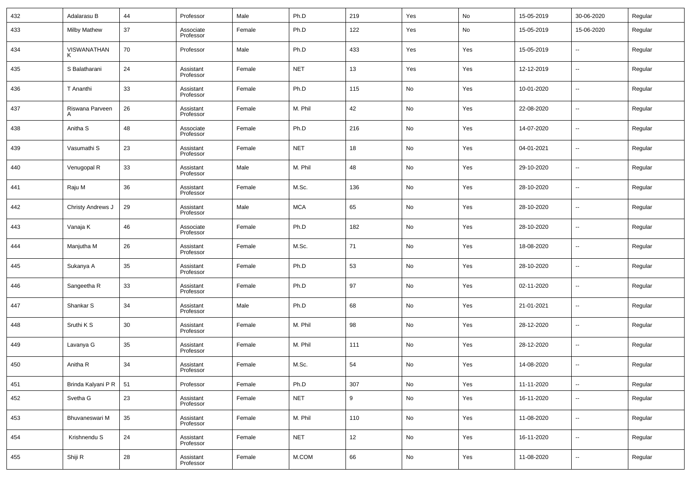| 432 | Adalarasu B          | 44 | Professor              | Male   | Ph.D       | 219 | Yes | No  | 15-05-2019 | 30-06-2020               | Regular |
|-----|----------------------|----|------------------------|--------|------------|-----|-----|-----|------------|--------------------------|---------|
| 433 | <b>Milby Mathew</b>  | 37 | Associate<br>Professor | Female | Ph.D       | 122 | Yes | No  | 15-05-2019 | 15-06-2020               | Regular |
| 434 | VISWANATHAN          | 70 | Professor              | Male   | Ph.D       | 433 | Yes | Yes | 15-05-2019 | $\overline{\phantom{a}}$ | Regular |
| 435 | S Balatharani        | 24 | Assistant<br>Professor | Female | <b>NET</b> | 13  | Yes | Yes | 12-12-2019 | $\overline{\phantom{a}}$ | Regular |
| 436 | T Ananthi            | 33 | Assistant<br>Professor | Female | Ph.D       | 115 | No  | Yes | 10-01-2020 | $\overline{\phantom{a}}$ | Regular |
| 437 | Riswana Parveen<br>Α | 26 | Assistant<br>Professor | Female | M. Phil    | 42  | No  | Yes | 22-08-2020 | $\overline{\phantom{a}}$ | Regular |
| 438 | Anitha <sub>S</sub>  | 48 | Associate<br>Professor | Female | Ph.D       | 216 | No  | Yes | 14-07-2020 | $\overline{\phantom{a}}$ | Regular |
| 439 | Vasumathi S          | 23 | Assistant<br>Professor | Female | <b>NET</b> | 18  | No  | Yes | 04-01-2021 | $\overline{\phantom{a}}$ | Regular |
| 440 | Venugopal R          | 33 | Assistant<br>Professor | Male   | M. Phil    | 48  | No  | Yes | 29-10-2020 | $\overline{\phantom{a}}$ | Regular |
| 441 | Raju M               | 36 | Assistant<br>Professor | Female | M.Sc.      | 136 | No  | Yes | 28-10-2020 | $\overline{\phantom{a}}$ | Regular |
| 442 | Christy Andrews J    | 29 | Assistant<br>Professor | Male   | <b>MCA</b> | 65  | No  | Yes | 28-10-2020 | $\overline{\phantom{a}}$ | Regular |
| 443 | Vanaja K             | 46 | Associate<br>Professor | Female | Ph.D       | 182 | No  | Yes | 28-10-2020 | $\overline{\phantom{a}}$ | Regular |
| 444 | Manjutha M           | 26 | Assistant<br>Professor | Female | M.Sc.      | 71  | No  | Yes | 18-08-2020 | $\overline{\phantom{a}}$ | Regular |
| 445 | Sukanya A            | 35 | Assistant<br>Professor | Female | Ph.D       | 53  | No  | Yes | 28-10-2020 | $\overline{\phantom{a}}$ | Regular |
| 446 | Sangeetha R          | 33 | Assistant<br>Professor | Female | Ph.D       | 97  | No  | Yes | 02-11-2020 | $\overline{\phantom{a}}$ | Regular |
| 447 | Shankar <sub>S</sub> | 34 | Assistant<br>Professor | Male   | Ph.D       | 68  | No  | Yes | 21-01-2021 | $\overline{\phantom{a}}$ | Regular |
| 448 | Sruthi K S           | 30 | Assistant<br>Professor | Female | M. Phil    | 98  | No  | Yes | 28-12-2020 | $\overline{\phantom{a}}$ | Regular |
| 449 | Lavanya G            | 35 | Assistant<br>Professor | Female | M. Phil    | 111 | No  | Yes | 28-12-2020 | $\overline{\phantom{a}}$ | Regular |
| 450 | Anitha R             | 34 | Assistant<br>Professor | Female | M.Sc.      | 54  | No  | Yes | 14-08-2020 | $\overline{\phantom{a}}$ | Regular |
| 451 | Brinda Kalyani P R   | 51 | Professor              | Female | Ph.D       | 307 | No  | Yes | 11-11-2020 | $\overline{\phantom{a}}$ | Regular |
| 452 | Svetha G             | 23 | Assistant<br>Professor | Female | <b>NET</b> | 9   | No  | Yes | 16-11-2020 | $\overline{\phantom{a}}$ | Regular |
| 453 | Bhuvaneswari M       | 35 | Assistant<br>Professor | Female | M. Phil    | 110 | No  | Yes | 11-08-2020 | $\overline{\phantom{a}}$ | Regular |
| 454 | Krishnendu S         | 24 | Assistant<br>Professor | Female | <b>NET</b> | 12  | No  | Yes | 16-11-2020 | $\overline{\phantom{a}}$ | Regular |
| 455 | Shiji R              | 28 | Assistant<br>Professor | Female | M.COM      | 66  | No  | Yes | 11-08-2020 | ۰.                       | Regular |